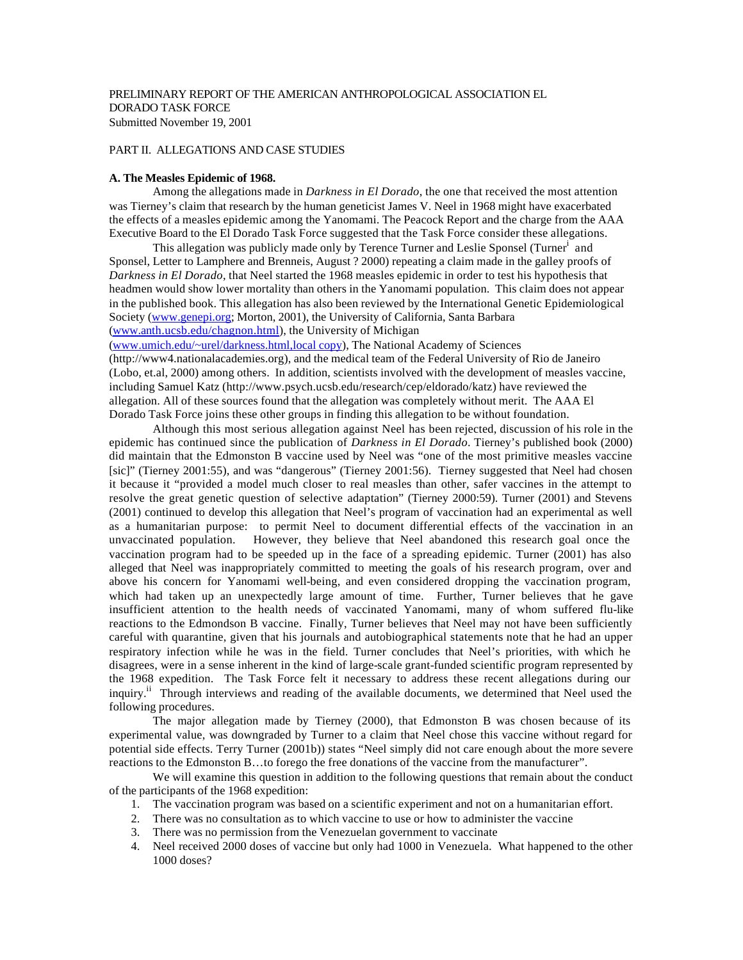### PART II. ALLEGATIONS AND CASE STUDIES

### **A. The Measles Epidemic of 1968.**

Among the allegations made in *Darkness in El Dorado*, the one that received the most attention was Tierney's claim that research by the human geneticist James V. Neel in 1968 might have exacerbated the effects of a measles epidemic among the Yanomami. The Peacock Report and the charge from the AAA Executive Board to the El Dorado Task Force suggested that the Task Force consider these allegations.

This allegation was publicly made only by Terence Turner and Leslie Sponsel (Turner<sup>i</sup> and Sponsel, Letter to Lamphere and Brenneis, August ? 2000) repeating a claim made in the galley proofs of *Darkness in El Dorado*, that Neel started the 1968 measles epidemic in order to test his hypothesis that headmen would show lower mortality than others in the Yanomami population. This claim does not appear in the published book. This allegation has also been reviewed by the International Genetic Epidemiological Society (www.genepi.org; Morton, 2001), the University of California, Santa Barbara (www.anth.ucsb.edu/chagnon.html), the University of Michigan

(www.umich.edu/~urel/darkness.html,local copy), The National Academy of Sciences (http://www4.nationalacademies.org), and the medical team of the Federal University of Rio de Janeiro (Lobo, et.al, 2000) among others. In addition, scientists involved with the development of measles vaccine, including Samuel Katz (http://www.psych.ucsb.edu/research/cep/eldorado/katz) have reviewed the allegation. All of these sources found that the allegation was completely without merit. The AAA El Dorado Task Force joins these other groups in finding this allegation to be without foundation.

Although this most serious allegation against Neel has been rejected, discussion of his role in the epidemic has continued since the publication of *Darkness in El Dorado*. Tierney's published book (2000) did maintain that the Edmonston B vaccine used by Neel was "one of the most primitive measles vaccine [sic]" (Tierney 2001:55), and was "dangerous" (Tierney 2001:56). Tierney suggested that Neel had chosen it because it "provided a model much closer to real measles than other, safer vaccines in the attempt to resolve the great genetic question of selective adaptation" (Tierney 2000:59). Turner (2001) and Stevens (2001) continued to develop this allegation that Neel's program of vaccination had an experimental as well as a humanitarian purpose: to permit Neel to document differential effects of the vaccination in an unvaccinated population. However, they believe that Neel abandoned this research goal once the vaccination program had to be speeded up in the face of a spreading epidemic. Turner (2001) has also alleged that Neel was inappropriately committed to meeting the goals of his research program, over and above his concern for Yanomami well-being, and even considered dropping the vaccination program, which had taken up an unexpectedly large amount of time. Further, Turner believes that he gave insufficient attention to the health needs of vaccinated Yanomami, many of whom suffered flu-like reactions to the Edmondson B vaccine. Finally, Turner believes that Neel may not have been sufficiently careful with quarantine, given that his journals and autobiographical statements note that he had an upper respiratory infection while he was in the field. Turner concludes that Neel's priorities, with which he disagrees, were in a sense inherent in the kind of large-scale grant-funded scientific program represented by the 1968 expedition. The Task Force felt it necessary to address these recent allegations during our inquiry.<sup>ii</sup> Through interviews and reading of the available documents, we determined that Neel used the following procedures.

The major allegation made by Tierney (2000), that Edmonston B was chosen because of its experimental value, was downgraded by Turner to a claim that Neel chose this vaccine without regard for potential side effects. Terry Turner (2001b)) states "Neel simply did not care enough about the more severe reactions to the Edmonston B…to forego the free donations of the vaccine from the manufacturer".

We will examine this question in addition to the following questions that remain about the conduct of the participants of the 1968 expedition:

- 1. The vaccination program was based on a scientific experiment and not on a humanitarian effort.
- 2. There was no consultation as to which vaccine to use or how to administer the vaccine
- 3. There was no permission from the Venezuelan government to vaccinate
- 4. Neel received 2000 doses of vaccine but only had 1000 in Venezuela. What happened to the other 1000 doses?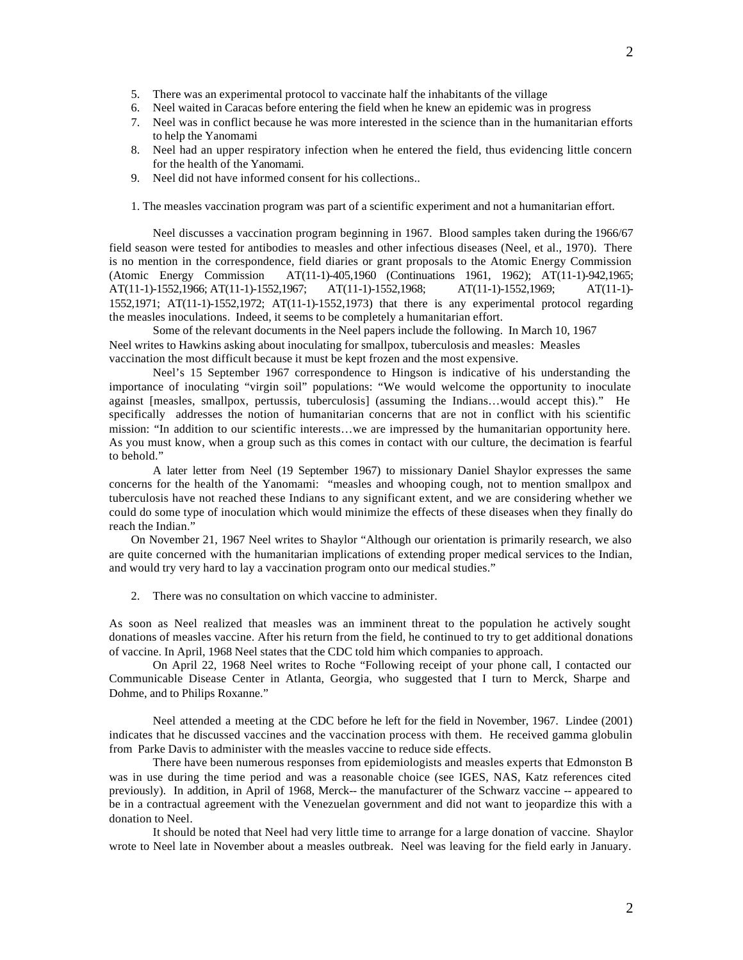- 5. There was an experimental protocol to vaccinate half the inhabitants of the village
- 6. Neel waited in Caracas before entering the field when he knew an epidemic was in progress
- 7. Neel was in conflict because he was more interested in the science than in the humanitarian efforts to help the Yanomami
- 8. Neel had an upper respiratory infection when he entered the field, thus evidencing little concern for the health of the Yanomami.
- 9. Neel did not have informed consent for his collections..
- 1. The measles vaccination program was part of a scientific experiment and not a humanitarian effort.

Neel discusses a vaccination program beginning in 1967. Blood samples taken during the 1966/67 field season were tested for antibodies to measles and other infectious diseases (Neel, et al., 1970). There is no mention in the correspondence, field diaries or grant proposals to the Atomic Energy Commission (Atomic Energy Commission AT(11-1)-405,1960 (Continuations 1961, 1962); AT(11-1)-942,1965; AT(11-1)-1552,1966; AT(11-1)-1552,1967; AT(11-1)-1552,1968; AT(11-1)-1552,1969; AT(11-1)- 1552,1971; AT(11-1)-1552,1972; AT(11-1)-1552,1973) that there is any experimental protocol regarding the measles inoculations. Indeed, it seems to be completely a humanitarian effort.

Some of the relevant documents in the Neel papers include the following. In March 10, 1967 Neel writes to Hawkins asking about inoculating for smallpox, tuberculosis and measles: Measles vaccination the most difficult because it must be kept frozen and the most expensive.

Neel's 15 September 1967 correspondence to Hingson is indicative of his understanding the importance of inoculating "virgin soil" populations: "We would welcome the opportunity to inoculate against [measles, smallpox, pertussis, tuberculosis] (assuming the Indians…would accept this)." He specifically addresses the notion of humanitarian concerns that are not in conflict with his scientific mission: "In addition to our scientific interests…we are impressed by the humanitarian opportunity here. As you must know, when a group such as this comes in contact with our culture, the decimation is fearful to behold."

A later letter from Neel (19 September 1967) to missionary Daniel Shaylor expresses the same concerns for the health of the Yanomami: "measles and whooping cough, not to mention smallpox and tuberculosis have not reached these Indians to any significant extent, and we are considering whether we could do some type of inoculation which would minimize the effects of these diseases when they finally do reach the Indian."

On November 21, 1967 Neel writes to Shaylor "Although our orientation is primarily research, we also are quite concerned with the humanitarian implications of extending proper medical services to the Indian, and would try very hard to lay a vaccination program onto our medical studies."

2. There was no consultation on which vaccine to administer.

As soon as Neel realized that measles was an imminent threat to the population he actively sought donations of measles vaccine. After his return from the field, he continued to try to get additional donations of vaccine. In April, 1968 Neel states that the CDC told him which companies to approach.

On April 22, 1968 Neel writes to Roche "Following receipt of your phone call, I contacted our Communicable Disease Center in Atlanta, Georgia, who suggested that I turn to Merck, Sharpe and Dohme, and to Philips Roxanne."

Neel attended a meeting at the CDC before he left for the field in November, 1967. Lindee (2001) indicates that he discussed vaccines and the vaccination process with them. He received gamma globulin from Parke Davis to administer with the measles vaccine to reduce side effects.

There have been numerous responses from epidemiologists and measles experts that Edmonston B was in use during the time period and was a reasonable choice (see IGES, NAS, Katz references cited previously). In addition, in April of 1968, Merck-- the manufacturer of the Schwarz vaccine -- appeared to be in a contractual agreement with the Venezuelan government and did not want to jeopardize this with a donation to Neel.

It should be noted that Neel had very little time to arrange for a large donation of vaccine. Shaylor wrote to Neel late in November about a measles outbreak. Neel was leaving for the field early in January.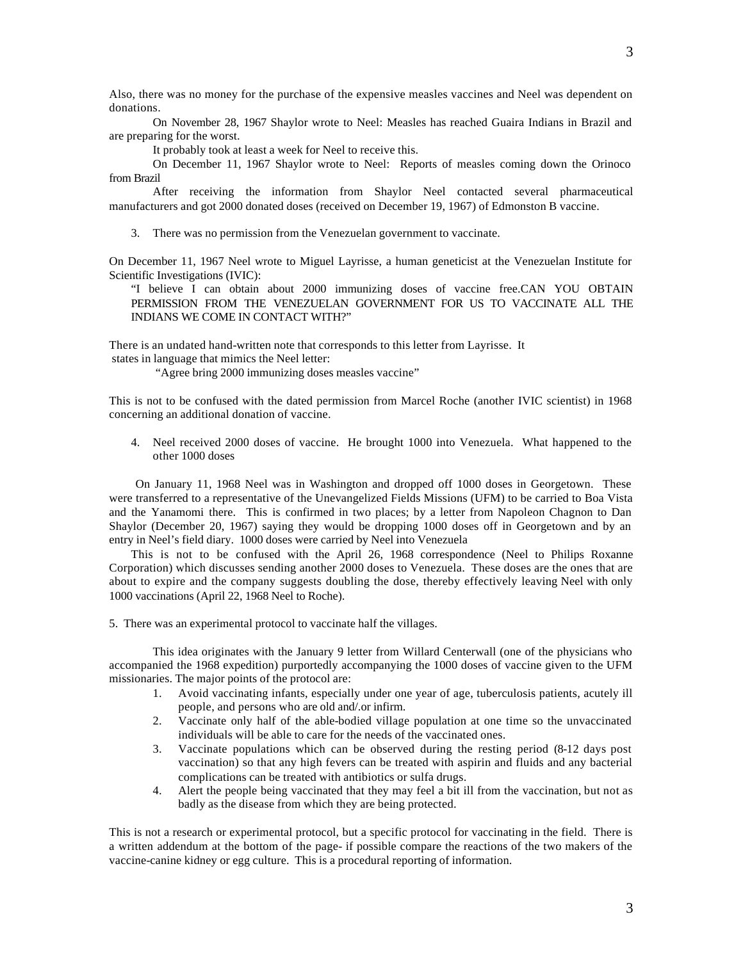Also, there was no money for the purchase of the expensive measles vaccines and Neel was dependent on donations.

On November 28, 1967 Shaylor wrote to Neel: Measles has reached Guaira Indians in Brazil and are preparing for the worst.

It probably took at least a week for Neel to receive this.

On December 11, 1967 Shaylor wrote to Neel: Reports of measles coming down the Orinoco from Brazil

After receiving the information from Shaylor Neel contacted several pharmaceutical manufacturers and got 2000 donated doses (received on December 19, 1967) of Edmonston B vaccine.

3. There was no permission from the Venezuelan government to vaccinate.

On December 11, 1967 Neel wrote to Miguel Layrisse, a human geneticist at the Venezuelan Institute for Scientific Investigations (IVIC):

"I believe I can obtain about 2000 immunizing doses of vaccine free.CAN YOU OBTAIN PERMISSION FROM THE VENEZUELAN GOVERNMENT FOR US TO VACCINATE ALL THE INDIANS WE COME IN CONTACT WITH?"

There is an undated hand-written note that corresponds to this letter from Layrisse. It states in language that mimics the Neel letter:

"Agree bring 2000 immunizing doses measles vaccine"

This is not to be confused with the dated permission from Marcel Roche (another IVIC scientist) in 1968 concerning an additional donation of vaccine.

4. Neel received 2000 doses of vaccine. He brought 1000 into Venezuela. What happened to the other 1000 doses

 On January 11, 1968 Neel was in Washington and dropped off 1000 doses in Georgetown. These were transferred to a representative of the Unevangelized Fields Missions (UFM) to be carried to Boa Vista and the Yanamomi there. This is confirmed in two places; by a letter from Napoleon Chagnon to Dan Shaylor (December 20, 1967) saying they would be dropping 1000 doses off in Georgetown and by an entry in Neel's field diary. 1000 doses were carried by Neel into Venezuela

This is not to be confused with the April 26, 1968 correspondence (Neel to Philips Roxanne Corporation) which discusses sending another 2000 doses to Venezuela. These doses are the ones that are about to expire and the company suggests doubling the dose, thereby effectively leaving Neel with only 1000 vaccinations (April 22, 1968 Neel to Roche).

5. There was an experimental protocol to vaccinate half the villages.

This idea originates with the January 9 letter from Willard Centerwall (one of the physicians who accompanied the 1968 expedition) purportedly accompanying the 1000 doses of vaccine given to the UFM missionaries. The major points of the protocol are:

- 1. Avoid vaccinating infants, especially under one year of age, tuberculosis patients, acutely ill people, and persons who are old and/.or infirm.
- 2. Vaccinate only half of the able-bodied village population at one time so the unvaccinated individuals will be able to care for the needs of the vaccinated ones.
- 3. Vaccinate populations which can be observed during the resting period (8-12 days post vaccination) so that any high fevers can be treated with aspirin and fluids and any bacterial complications can be treated with antibiotics or sulfa drugs.
- 4. Alert the people being vaccinated that they may feel a bit ill from the vaccination, but not as badly as the disease from which they are being protected.

This is not a research or experimental protocol, but a specific protocol for vaccinating in the field. There is a written addendum at the bottom of the page- if possible compare the reactions of the two makers of the vaccine-canine kidney or egg culture. This is a procedural reporting of information.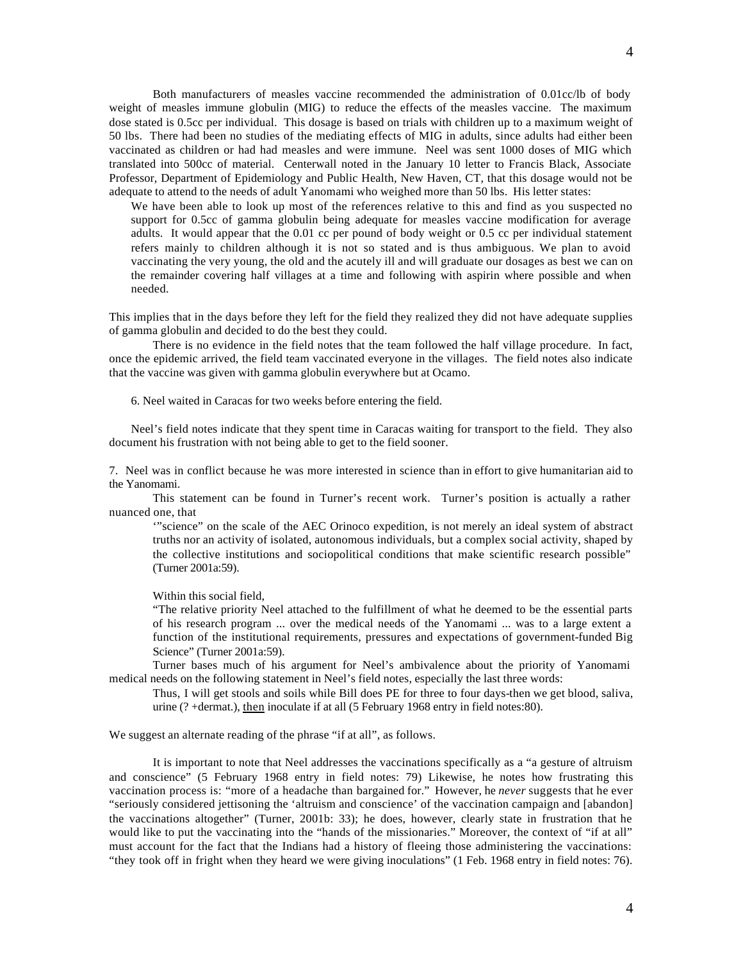Both manufacturers of measles vaccine recommended the administration of 0.01cc/lb of body weight of measles immune globulin (MIG) to reduce the effects of the measles vaccine. The maximum dose stated is 0.5cc per individual. This dosage is based on trials with children up to a maximum weight of 50 lbs. There had been no studies of the mediating effects of MIG in adults, since adults had either been vaccinated as children or had had measles and were immune. Neel was sent 1000 doses of MIG which translated into 500cc of material. Centerwall noted in the January 10 letter to Francis Black, Associate Professor, Department of Epidemiology and Public Health, New Haven, CT, that this dosage would not be adequate to attend to the needs of adult Yanomami who weighed more than 50 lbs. His letter states:

We have been able to look up most of the references relative to this and find as you suspected no support for 0.5cc of gamma globulin being adequate for measles vaccine modification for average adults. It would appear that the 0.01 cc per pound of body weight or 0.5 cc per individual statement refers mainly to children although it is not so stated and is thus ambiguous. We plan to avoid vaccinating the very young, the old and the acutely ill and will graduate our dosages as best we can on the remainder covering half villages at a time and following with aspirin where possible and when needed.

This implies that in the days before they left for the field they realized they did not have adequate supplies of gamma globulin and decided to do the best they could.

There is no evidence in the field notes that the team followed the half village procedure. In fact, once the epidemic arrived, the field team vaccinated everyone in the villages. The field notes also indicate that the vaccine was given with gamma globulin everywhere but at Ocamo.

6. Neel waited in Caracas for two weeks before entering the field.

Neel's field notes indicate that they spent time in Caracas waiting for transport to the field. They also document his frustration with not being able to get to the field sooner.

7. Neel was in conflict because he was more interested in science than in effort to give humanitarian aid to the Yanomami.

This statement can be found in Turner's recent work. Turner's position is actually a rather nuanced one, that

'"science" on the scale of the AEC Orinoco expedition, is not merely an ideal system of abstract truths nor an activity of isolated, autonomous individuals, but a complex social activity, shaped by the collective institutions and sociopolitical conditions that make scientific research possible" (Turner 2001a:59).

Within this social field,

"The relative priority Neel attached to the fulfillment of what he deemed to be the essential parts of his research program ... over the medical needs of the Yanomami ... was to a large extent a function of the institutional requirements, pressures and expectations of government-funded Big Science" (Turner 2001a:59).

Turner bases much of his argument for Neel's ambivalence about the priority of Yanomami medical needs on the following statement in Neel's field notes, especially the last three words:

Thus, I will get stools and soils while Bill does PE for three to four days-then we get blood, saliva, urine (? +dermat.), then inoculate if at all (5 February 1968 entry in field notes:80).

We suggest an alternate reading of the phrase "if at all", as follows.

It is important to note that Neel addresses the vaccinations specifically as a "a gesture of altruism and conscience" (5 February 1968 entry in field notes: 79) Likewise, he notes how frustrating this vaccination process is: "more of a headache than bargained for." However, he *never* suggests that he ever "seriously considered jettisoning the 'altruism and conscience' of the vaccination campaign and [abandon] the vaccinations altogether" (Turner, 2001b: 33); he does, however, clearly state in frustration that he would like to put the vaccinating into the "hands of the missionaries." Moreover, the context of "if at all" must account for the fact that the Indians had a history of fleeing those administering the vaccinations: "they took off in fright when they heard we were giving inoculations" (1 Feb. 1968 entry in field notes: 76).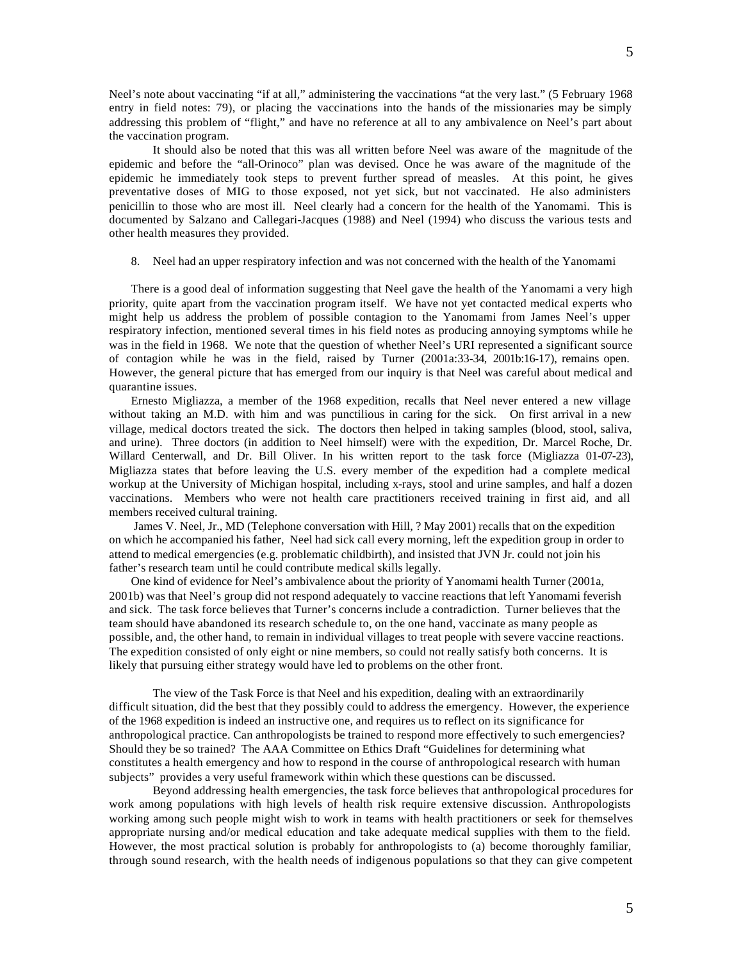Neel's note about vaccinating "if at all," administering the vaccinations "at the very last." (5 February 1968 entry in field notes: 79), or placing the vaccinations into the hands of the missionaries may be simply addressing this problem of "flight," and have no reference at all to any ambivalence on Neel's part about the vaccination program.

It should also be noted that this was all written before Neel was aware of the magnitude of the epidemic and before the "all-Orinoco" plan was devised. Once he was aware of the magnitude of the epidemic he immediately took steps to prevent further spread of measles. At this point, he gives preventative doses of MIG to those exposed, not yet sick, but not vaccinated. He also administers penicillin to those who are most ill. Neel clearly had a concern for the health of the Yanomami. This is documented by Salzano and Callegari-Jacques (1988) and Neel (1994) who discuss the various tests and other health measures they provided.

### 8. Neel had an upper respiratory infection and was not concerned with the health of the Yanomami

There is a good deal of information suggesting that Neel gave the health of the Yanomami a very high priority, quite apart from the vaccination program itself. We have not yet contacted medical experts who might help us address the problem of possible contagion to the Yanomami from James Neel's upper respiratory infection, mentioned several times in his field notes as producing annoying symptoms while he was in the field in 1968. We note that the question of whether Neel's URI represented a significant source of contagion while he was in the field, raised by Turner (2001a:33-34, 2001b:16-17), remains open. However, the general picture that has emerged from our inquiry is that Neel was careful about medical and quarantine issues.

Ernesto Migliazza, a member of the 1968 expedition, recalls that Neel never entered a new village without taking an M.D. with him and was punctilious in caring for the sick. On first arrival in a new village, medical doctors treated the sick. The doctors then helped in taking samples (blood, stool, saliva, and urine). Three doctors (in addition to Neel himself) were with the expedition, Dr. Marcel Roche, Dr. Willard Centerwall, and Dr. Bill Oliver. In his written report to the task force (Migliazza 01-07-23), Migliazza states that before leaving the U.S. every member of the expedition had a complete medical workup at the University of Michigan hospital, including x-rays, stool and urine samples, and half a dozen vaccinations. Members who were not health care practitioners received training in first aid, and all members received cultural training.

 James V. Neel, Jr., MD (Telephone conversation with Hill, ? May 2001) recalls that on the expedition on which he accompanied his father, Neel had sick call every morning, left the expedition group in order to attend to medical emergencies (e.g. problematic childbirth), and insisted that JVN Jr. could not join his father's research team until he could contribute medical skills legally.

One kind of evidence for Neel's ambivalence about the priority of Yanomami health Turner (2001a, 2001b) was that Neel's group did not respond adequately to vaccine reactions that left Yanomami feverish and sick. The task force believes that Turner's concerns include a contradiction. Turner believes that the team should have abandoned its research schedule to, on the one hand, vaccinate as many people as possible, and, the other hand, to remain in individual villages to treat people with severe vaccine reactions. The expedition consisted of only eight or nine members, so could not really satisfy both concerns. It is likely that pursuing either strategy would have led to problems on the other front.

The view of the Task Force is that Neel and his expedition, dealing with an extraordinarily difficult situation, did the best that they possibly could to address the emergency. However, the experience of the 1968 expedition is indeed an instructive one, and requires us to reflect on its significance for anthropological practice. Can anthropologists be trained to respond more effectively to such emergencies? Should they be so trained? The AAA Committee on Ethics Draft "Guidelines for determining what constitutes a health emergency and how to respond in the course of anthropological research with human subjects" provides a very useful framework within which these questions can be discussed.

Beyond addressing health emergencies, the task force believes that anthropological procedures for work among populations with high levels of health risk require extensive discussion. Anthropologists working among such people might wish to work in teams with health practitioners or seek for themselves appropriate nursing and/or medical education and take adequate medical supplies with them to the field. However, the most practical solution is probably for anthropologists to (a) become thoroughly familiar, through sound research, with the health needs of indigenous populations so that they can give competent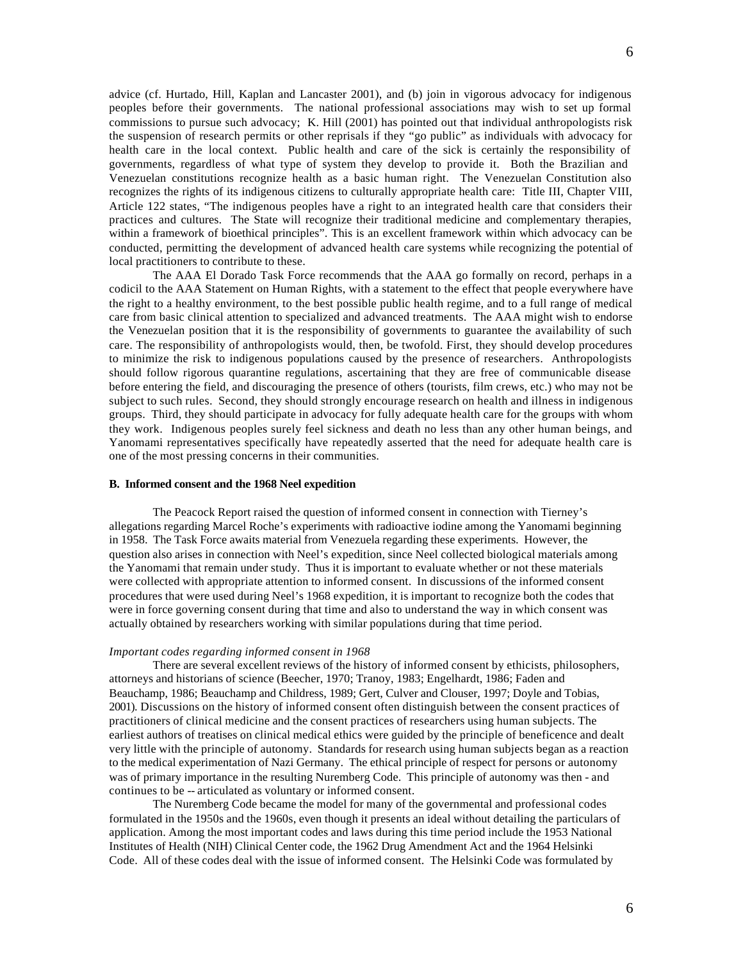advice (cf. Hurtado, Hill, Kaplan and Lancaster 2001), and (b) join in vigorous advocacy for indigenous peoples before their governments. The national professional associations may wish to set up formal commissions to pursue such advocacy; K. Hill (2001) has pointed out that individual anthropologists risk the suspension of research permits or other reprisals if they "go public" as individuals with advocacy for health care in the local context. Public health and care of the sick is certainly the responsibility of governments, regardless of what type of system they develop to provide it. Both the Brazilian and Venezuelan constitutions recognize health as a basic human right. The Venezuelan Constitution also recognizes the rights of its indigenous citizens to culturally appropriate health care: Title III, Chapter VIII, Article 122 states, "The indigenous peoples have a right to an integrated health care that considers their practices and cultures. The State will recognize their traditional medicine and complementary therapies, within a framework of bioethical principles". This is an excellent framework within which advocacy can be conducted, permitting the development of advanced health care systems while recognizing the potential of local practitioners to contribute to these.

The AAA El Dorado Task Force recommends that the AAA go formally on record, perhaps in a codicil to the AAA Statement on Human Rights, with a statement to the effect that people everywhere have the right to a healthy environment, to the best possible public health regime, and to a full range of medical care from basic clinical attention to specialized and advanced treatments. The AAA might wish to endorse the Venezuelan position that it is the responsibility of governments to guarantee the availability of such care. The responsibility of anthropologists would, then, be twofold. First, they should develop procedures to minimize the risk to indigenous populations caused by the presence of researchers. Anthropologists should follow rigorous quarantine regulations, ascertaining that they are free of communicable disease before entering the field, and discouraging the presence of others (tourists, film crews, etc.) who may not be subject to such rules. Second, they should strongly encourage research on health and illness in indigenous groups. Third, they should participate in advocacy for fully adequate health care for the groups with whom they work. Indigenous peoples surely feel sickness and death no less than any other human beings, and Yanomami representatives specifically have repeatedly asserted that the need for adequate health care is one of the most pressing concerns in their communities.

### **B. Informed consent and the 1968 Neel expedition**

The Peacock Report raised the question of informed consent in connection with Tierney's allegations regarding Marcel Roche's experiments with radioactive iodine among the Yanomami beginning in 1958. The Task Force awaits material from Venezuela regarding these experiments. However, the question also arises in connection with Neel's expedition, since Neel collected biological materials among the Yanomami that remain under study. Thus it is important to evaluate whether or not these materials were collected with appropriate attention to informed consent. In discussions of the informed consent procedures that were used during Neel's 1968 expedition, it is important to recognize both the codes that were in force governing consent during that time and also to understand the way in which consent was actually obtained by researchers working with similar populations during that time period.

#### *Important codes regarding informed consent in 1968*

There are several excellent reviews of the history of informed consent by ethicists, philosophers, attorneys and historians of science (Beecher, 1970; Tranoy, 1983; Engelhardt, 1986; Faden and Beauchamp, 1986; Beauchamp and Childress, 1989; Gert, Culver and Clouser, 1997; Doyle and Tobias, 2001). Discussions on the history of informed consent often distinguish between the consent practices of practitioners of clinical medicine and the consent practices of researchers using human subjects. The earliest authors of treatises on clinical medical ethics were guided by the principle of beneficence and dealt very little with the principle of autonomy. Standards for research using human subjects began as a reaction to the medical experimentation of Nazi Germany. The ethical principle of respect for persons or autonomy was of primary importance in the resulting Nuremberg Code. This principle of autonomy was then - and continues to be -- articulated as voluntary or informed consent.

The Nuremberg Code became the model for many of the governmental and professional codes formulated in the 1950s and the 1960s, even though it presents an ideal without detailing the particulars of application. Among the most important codes and laws during this time period include the 1953 National Institutes of Health (NIH) Clinical Center code, the 1962 Drug Amendment Act and the 1964 Helsinki Code. All of these codes deal with the issue of informed consent. The Helsinki Code was formulated by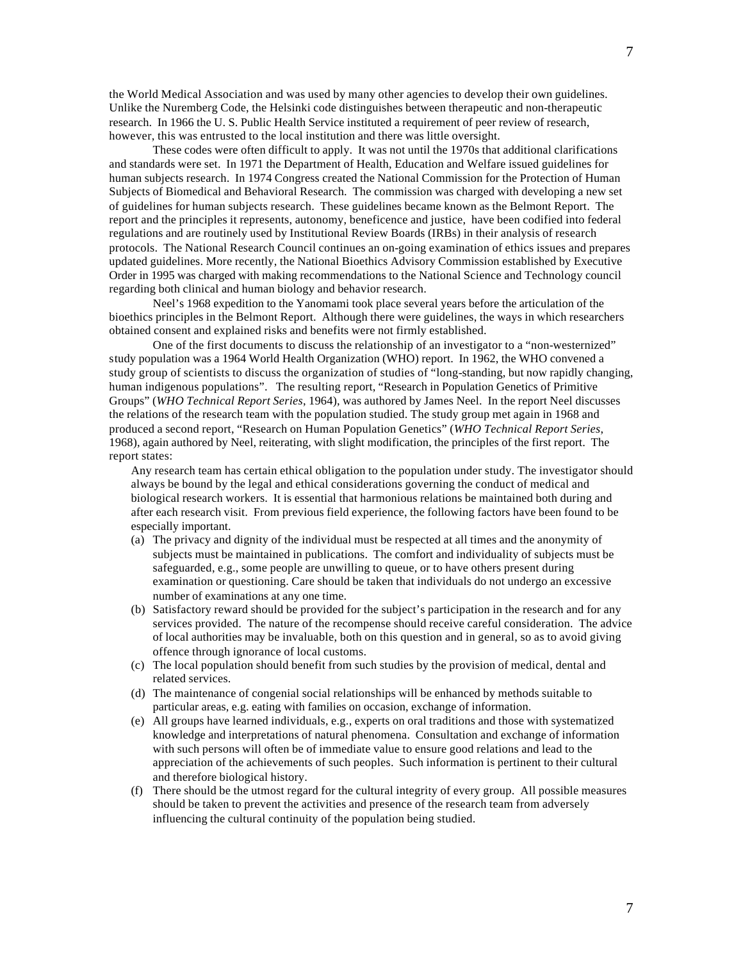the World Medical Association and was used by many other agencies to develop their own guidelines. Unlike the Nuremberg Code, the Helsinki code distinguishes between therapeutic and non-therapeutic research. In 1966 the U. S. Public Health Service instituted a requirement of peer review of research, however, this was entrusted to the local institution and there was little oversight.

These codes were often difficult to apply. It was not until the 1970s that additional clarifications and standards were set. In 1971 the Department of Health, Education and Welfare issued guidelines for human subjects research. In 1974 Congress created the National Commission for the Protection of Human Subjects of Biomedical and Behavioral Research. The commission was charged with developing a new set of guidelines for human subjects research. These guidelines became known as the Belmont Report. The report and the principles it represents, autonomy, beneficence and justice, have been codified into federal regulations and are routinely used by Institutional Review Boards (IRBs) in their analysis of research protocols. The National Research Council continues an on-going examination of ethics issues and prepares updated guidelines. More recently, the National Bioethics Advisory Commission established by Executive Order in 1995 was charged with making recommendations to the National Science and Technology council regarding both clinical and human biology and behavior research.

Neel's 1968 expedition to the Yanomami took place several years before the articulation of the bioethics principles in the Belmont Report. Although there were guidelines, the ways in which researchers obtained consent and explained risks and benefits were not firmly established.

One of the first documents to discuss the relationship of an investigator to a "non-westernized" study population was a 1964 World Health Organization (WHO) report. In 1962, the WHO convened a study group of scientists to discuss the organization of studies of "long-standing, but now rapidly changing, human indigenous populations". The resulting report, "Research in Population Genetics of Primitive Groups" (*WHO Technical Report Series*, 1964), was authored by James Neel. In the report Neel discusses the relations of the research team with the population studied. The study group met again in 1968 and produced a second report, "Research on Human Population Genetics" (*WHO Technical Report Series*, 1968), again authored by Neel, reiterating, with slight modification, the principles of the first report. The report states:

Any research team has certain ethical obligation to the population under study. The investigator should always be bound by the legal and ethical considerations governing the conduct of medical and biological research workers. It is essential that harmonious relations be maintained both during and after each research visit. From previous field experience, the following factors have been found to be especially important.

- (a) The privacy and dignity of the individual must be respected at all times and the anonymity of subjects must be maintained in publications. The comfort and individuality of subjects must be safeguarded, e.g., some people are unwilling to queue, or to have others present during examination or questioning. Care should be taken that individuals do not undergo an excessive number of examinations at any one time.
- (b) Satisfactory reward should be provided for the subject's participation in the research and for any services provided. The nature of the recompense should receive careful consideration. The advice of local authorities may be invaluable, both on this question and in general, so as to avoid giving offence through ignorance of local customs.
- (c) The local population should benefit from such studies by the provision of medical, dental and related services.
- (d) The maintenance of congenial social relationships will be enhanced by methods suitable to particular areas, e.g. eating with families on occasion, exchange of information.
- (e) All groups have learned individuals, e.g., experts on oral traditions and those with systematized knowledge and interpretations of natural phenomena. Consultation and exchange of information with such persons will often be of immediate value to ensure good relations and lead to the appreciation of the achievements of such peoples. Such information is pertinent to their cultural and therefore biological history.
- (f) There should be the utmost regard for the cultural integrity of every group. All possible measures should be taken to prevent the activities and presence of the research team from adversely influencing the cultural continuity of the population being studied.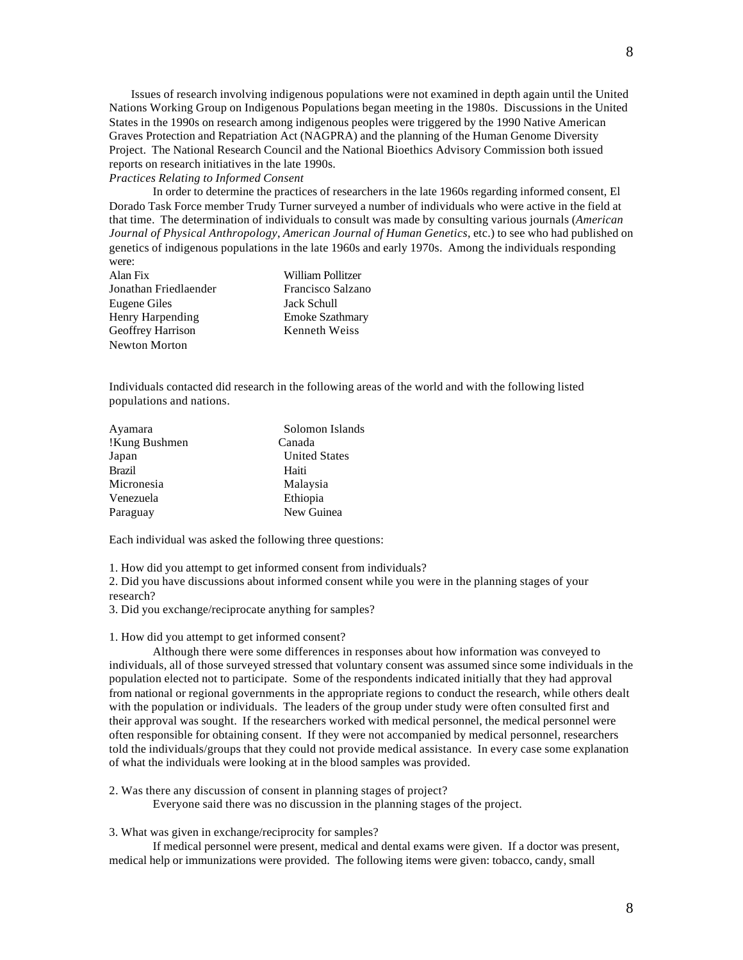Issues of research involving indigenous populations were not examined in depth again until the United Nations Working Group on Indigenous Populations began meeting in the 1980s. Discussions in the United States in the 1990s on research among indigenous peoples were triggered by the 1990 Native American Graves Protection and Repatriation Act (NAGPRA) and the planning of the Human Genome Diversity Project. The National Research Council and the National Bioethics Advisory Commission both issued reports on research initiatives in the late 1990s.

## *Practices Relating to Informed Consent*

In order to determine the practices of researchers in the late 1960s regarding informed consent, El Dorado Task Force member Trudy Turner surveyed a number of individuals who were active in the field at that time. The determination of individuals to consult was made by consulting various journals (*American Journal of Physical Anthropology*, *American Journal of Human Genetics*, etc.) to see who had published on genetics of indigenous populations in the late 1960s and early 1970s. Among the individuals responding were:

| Alan Fix              | William Pollitzer      |
|-----------------------|------------------------|
| Jonathan Friedlaender | Francisco Salzano      |
| Eugene Giles          | Jack Schull            |
| Henry Harpending      | <b>Emoke Szathmary</b> |
| Geoffrey Harrison     | <b>Kenneth Weiss</b>   |
| Newton Morton         |                        |

Individuals contacted did research in the following areas of the world and with the following listed populations and nations.

| Ayamara       | Solomon Islands      |
|---------------|----------------------|
| !Kung Bushmen | Canada               |
| Japan         | <b>United States</b> |
| <b>Brazil</b> | Haiti                |
| Micronesia    | Malaysia             |
| Venezuela     | Ethiopia             |
| Paraguay      | New Guinea           |

Each individual was asked the following three questions:

1. How did you attempt to get informed consent from individuals?

2. Did you have discussions about informed consent while you were in the planning stages of your research?

3. Did you exchange/reciprocate anything for samples?

### 1. How did you attempt to get informed consent?

Although there were some differences in responses about how information was conveyed to individuals, all of those surveyed stressed that voluntary consent was assumed since some individuals in the population elected not to participate. Some of the respondents indicated initially that they had approval from national or regional governments in the appropriate regions to conduct the research, while others dealt with the population or individuals. The leaders of the group under study were often consulted first and their approval was sought. If the researchers worked with medical personnel, the medical personnel were often responsible for obtaining consent. If they were not accompanied by medical personnel, researchers told the individuals/groups that they could not provide medical assistance. In every case some explanation of what the individuals were looking at in the blood samples was provided.

### 2. Was there any discussion of consent in planning stages of project?

Everyone said there was no discussion in the planning stages of the project.

3. What was given in exchange/reciprocity for samples?

If medical personnel were present, medical and dental exams were given. If a doctor was present, medical help or immunizations were provided. The following items were given: tobacco, candy, small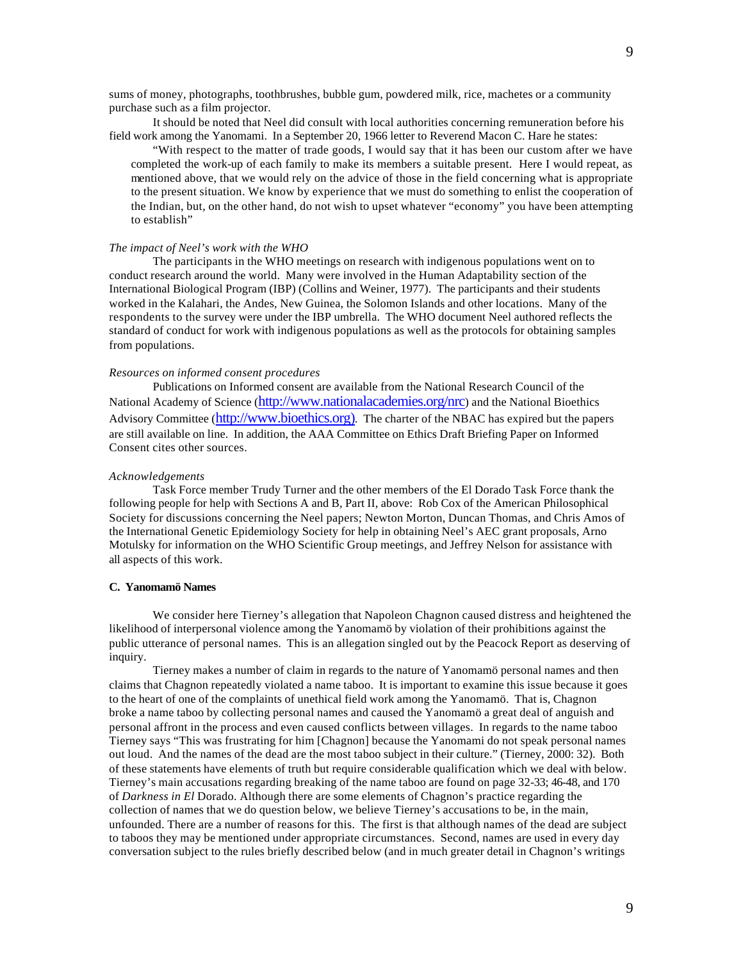9

sums of money, photographs, toothbrushes, bubble gum, powdered milk, rice, machetes or a community purchase such as a film projector.

It should be noted that Neel did consult with local authorities concerning remuneration before his field work among the Yanomami. In a September 20, 1966 letter to Reverend Macon C. Hare he states:

"With respect to the matter of trade goods, I would say that it has been our custom after we have completed the work-up of each family to make its members a suitable present. Here I would repeat, as mentioned above, that we would rely on the advice of those in the field concerning what is appropriate to the present situation. We know by experience that we must do something to enlist the cooperation of the Indian, but, on the other hand, do not wish to upset whatever "economy" you have been attempting to establish"

# *The impact of Neel's work with the WHO*

The participants in the WHO meetings on research with indigenous populations went on to conduct research around the world. Many were involved in the Human Adaptability section of the International Biological Program (IBP) (Collins and Weiner, 1977). The participants and their students worked in the Kalahari, the Andes, New Guinea, the Solomon Islands and other locations. Many of the respondents to the survey were under the IBP umbrella. The WHO document Neel authored reflects the standard of conduct for work with indigenous populations as well as the protocols for obtaining samples from populations.

# *Resources on informed consent procedures*

Publications on Informed consent are available from the National Research Council of the National Academy of Science (http://www.nationalacademies.org/nrc) and the National Bioethics Advisory Committee (http://www.bioethics.org). The charter of the NBAC has expired but the papers are still available on line. In addition, the AAA Committee on Ethics Draft Briefing Paper on Informed Consent cites other sources.

### *Acknowledgements*

Task Force member Trudy Turner and the other members of the El Dorado Task Force thank the following people for help with Sections A and B, Part II, above: Rob Cox of the American Philosophical Society for discussions concerning the Neel papers; Newton Morton, Duncan Thomas, and Chris Amos of the International Genetic Epidemiology Society for help in obtaining Neel's AEC grant proposals, Arno Motulsky for information on the WHO Scientific Group meetings, and Jeffrey Nelson for assistance with all aspects of this work.

## **C. Yanomamö Names**

We consider here Tierney's allegation that Napoleon Chagnon caused distress and heightened the likelihood of interpersonal violence among the Yanomamö by violation of their prohibitions against the public utterance of personal names. This is an allegation singled out by the Peacock Report as deserving of inquiry.

Tierney makes a number of claim in regards to the nature of Yanomamö personal names and then claims that Chagnon repeatedly violated a name taboo. It is important to examine this issue because it goes to the heart of one of the complaints of unethical field work among the Yanomamö. That is, Chagnon broke a name taboo by collecting personal names and caused the Yanomamö a great deal of anguish and personal affront in the process and even caused conflicts between villages. In regards to the name taboo Tierney says "This was frustrating for him [Chagnon] because the Yanomami do not speak personal names out loud. And the names of the dead are the most taboo subject in their culture." (Tierney, 2000: 32). Both of these statements have elements of truth but require considerable qualification which we deal with below. Tierney's main accusations regarding breaking of the name taboo are found on page 32-33; 46-48, and 170 of *Darkness in El* Dorado. Although there are some elements of Chagnon's practice regarding the collection of names that we do question below, we believe Tierney's accusations to be, in the main, unfounded. There are a number of reasons for this. The first is that although names of the dead are subject to taboos they may be mentioned under appropriate circumstances. Second, names are used in every day conversation subject to the rules briefly described below (and in much greater detail in Chagnon's writings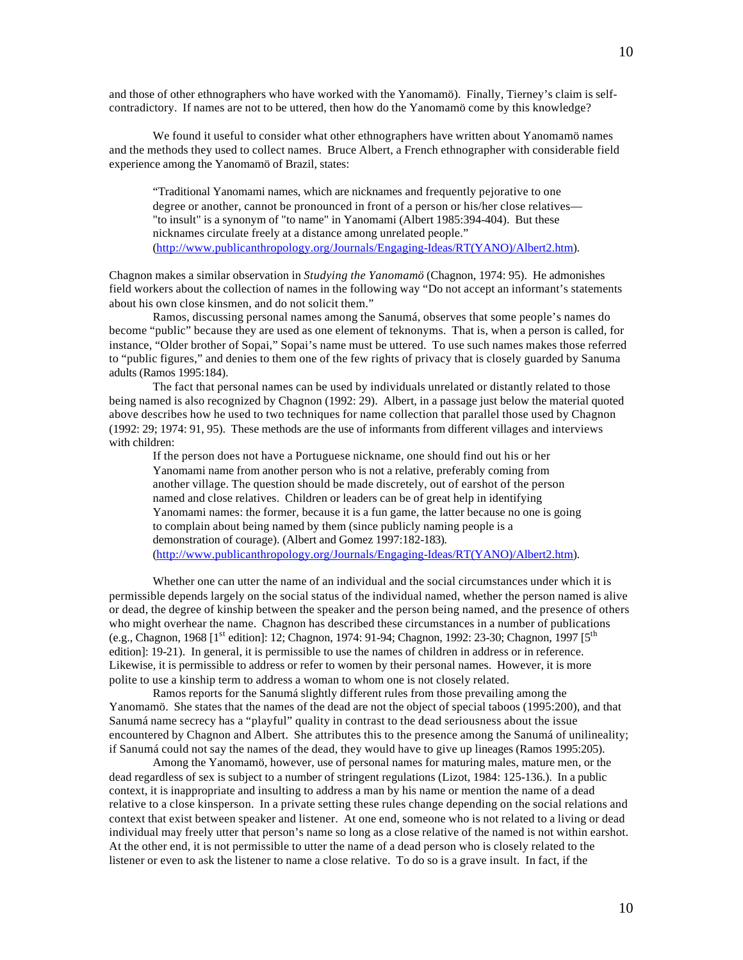We found it useful to consider what other ethnographers have written about Yanomamö names and the methods they used to collect names. Bruce Albert, a French ethnographer with considerable field experience among the Yanomamö of Brazil, states:

"Traditional Yanomami names, which are nicknames and frequently pejorative to one degree or another, cannot be pronounced in front of a person or his/her close relatives— "to insult" is a synonym of "to name" in Yanomami (Albert 1985:394-404). But these nicknames circulate freely at a distance among unrelated people." (http://www.publicanthropology.org/Journals/Engaging-Ideas/RT(YANO)/Albert2.htm).

Chagnon makes a similar observation in *Studying the Yanomamö* (Chagnon, 1974: 95). He admonishes field workers about the collection of names in the following way "Do not accept an informant's statements about his own close kinsmen, and do not solicit them."

Ramos, discussing personal names among the Sanumá, observes that some people's names do become "public" because they are used as one element of teknonyms. That is, when a person is called, for instance, "Older brother of Sopai," Sopai's name must be uttered. To use such names makes those referred to "public figures," and denies to them one of the few rights of privacy that is closely guarded by Sanuma adults (Ramos 1995:184).

The fact that personal names can be used by individuals unrelated or distantly related to those being named is also recognized by Chagnon (1992: 29). Albert, in a passage just below the material quoted above describes how he used to two techniques for name collection that parallel those used by Chagnon (1992: 29; 1974: 91, 95). These methods are the use of informants from different villages and interviews with children:

If the person does not have a Portuguese nickname, one should find out his or her Yanomami name from another person who is not a relative, preferably coming from another village. The question should be made discretely, out of earshot of the person named and close relatives. Children or leaders can be of great help in identifying Yanomami names: the former, because it is a fun game, the latter because no one is going to complain about being named by them (since publicly naming people is a demonstration of courage). (Albert and Gomez 1997:182-183). (http://www.publicanthropology.org/Journals/Engaging-Ideas/RT(YANO)/Albert2.htm).

Whether one can utter the name of an individual and the social circumstances under which it is permissible depends largely on the social status of the individual named, whether the person named is alive or dead, the degree of kinship between the speaker and the person being named, and the presence of others who might overhear the name. Chagnon has described these circumstances in a number of publications (e.g., Chagnon, 1968 [1<sup>st</sup> edition]: 12; Chagnon, 1974: 91-94; Chagnon, 1992: 23-30; Chagnon, 1997 [5<sup>th</sup>] edition]: 19-21). In general, it is permissible to use the names of children in address or in reference. Likewise, it is permissible to address or refer to women by their personal names. However, it is more polite to use a kinship term to address a woman to whom one is not closely related.

Ramos reports for the Sanumá slightly different rules from those prevailing among the Yanomamö. She states that the names of the dead are not the object of special taboos (1995:200), and that Sanumá name secrecy has a "playful" quality in contrast to the dead seriousness about the issue encountered by Chagnon and Albert. She attributes this to the presence among the Sanumá of unilineality; if Sanumá could not say the names of the dead, they would have to give up lineages (Ramos 1995:205).

Among the Yanomamö, however, use of personal names for maturing males, mature men, or the dead regardless of sex is subject to a number of stringent regulations (Lizot, 1984: 125-136.). In a public context, it is inappropriate and insulting to address a man by his name or mention the name of a dead relative to a close kinsperson. In a private setting these rules change depending on the social relations and context that exist between speaker and listener. At one end, someone who is not related to a living or dead individual may freely utter that person's name so long as a close relative of the named is not within earshot. At the other end, it is not permissible to utter the name of a dead person who is closely related to the listener or even to ask the listener to name a close relative. To do so is a grave insult. In fact, if the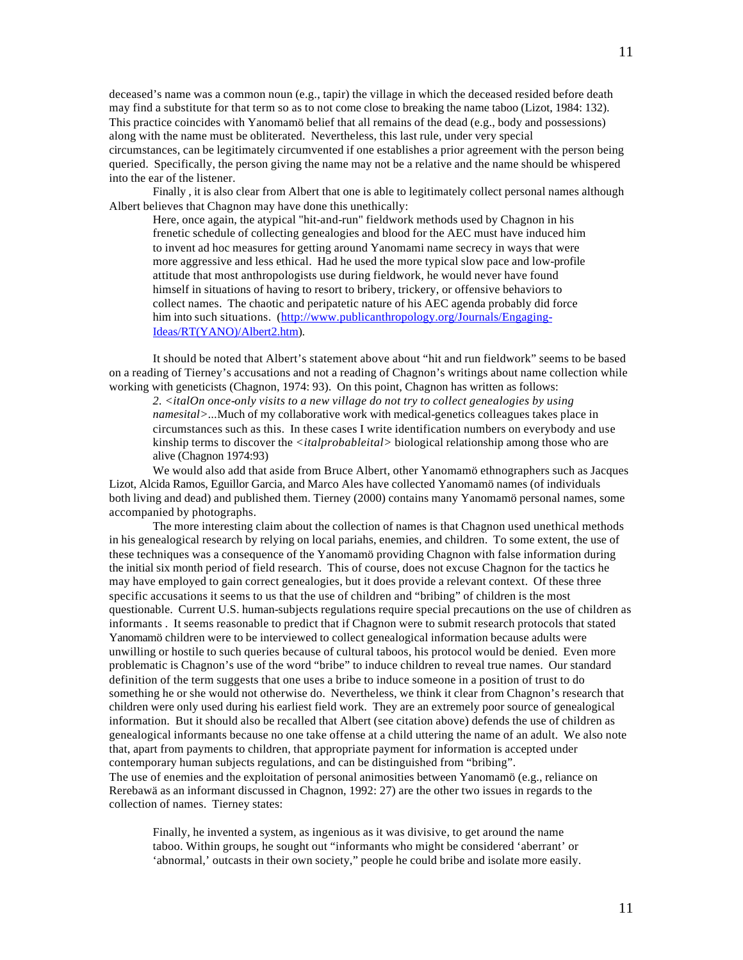11

deceased's name was a common noun (e.g., tapir) the village in which the deceased resided before death may find a substitute for that term so as to not come close to breaking the name taboo (Lizot, 1984: 132). This practice coincides with Yanomamö belief that all remains of the dead (e.g., body and possessions) along with the name must be obliterated. Nevertheless, this last rule, under very special circumstances, can be legitimately circumvented if one establishes a prior agreement with the person being queried. Specifically, the person giving the name may not be a relative and the name should be whispered into the ear of the listener.

Finally , it is also clear from Albert that one is able to legitimately collect personal names although Albert believes that Chagnon may have done this unethically:

Here, once again, the atypical "hit-and-run" fieldwork methods used by Chagnon in his frenetic schedule of collecting genealogies and blood for the AEC must have induced him to invent ad hoc measures for getting around Yanomami name secrecy in ways that were more aggressive and less ethical. Had he used the more typical slow pace and low-profile attitude that most anthropologists use during fieldwork, he would never have found himself in situations of having to resort to bribery, trickery, or offensive behaviors to collect names. The chaotic and peripatetic nature of his AEC agenda probably did force him into such situations. (http://www.publicanthropology.org/Journals/Engaging-Ideas/RT(YANO)/Albert2.htm).

It should be noted that Albert's statement above about "hit and run fieldwork" seems to be based on a reading of Tierney's accusations and not a reading of Chagnon's writings about name collection while working with geneticists (Chagnon, 1974: 93). On this point, Chagnon has written as follows:

*2. <italOn once-only visits to a new village do not try to collect genealogies by using namesital>...*Much of my collaborative work with medical-genetics colleagues takes place in circumstances such as this. In these cases I write identification numbers on everybody and use kinship terms to discover the *<italprobableital>* biological relationship among those who are alive (Chagnon 1974:93)

We would also add that aside from Bruce Albert, other Yanomamö ethnographers such as Jacques Lizot, Alcida Ramos, Eguillor Garcia, and Marco Ales have collected Yanomamö names (of individuals both living and dead) and published them. Tierney (2000) contains many Yanomamö personal names, some accompanied by photographs.

The more interesting claim about the collection of names is that Chagnon used unethical methods in his genealogical research by relying on local pariahs, enemies, and children. To some extent, the use of these techniques was a consequence of the Yanomamö providing Chagnon with false information during the initial six month period of field research. This of course, does not excuse Chagnon for the tactics he may have employed to gain correct genealogies, but it does provide a relevant context. Of these three specific accusations it seems to us that the use of children and "bribing" of children is the most questionable. Current U.S. human-subjects regulations require special precautions on the use of children as informants . It seems reasonable to predict that if Chagnon were to submit research protocols that stated Yanomamö children were to be interviewed to collect genealogical information because adults were unwilling or hostile to such queries because of cultural taboos, his protocol would be denied. Even more problematic is Chagnon's use of the word "bribe" to induce children to reveal true names. Our standard definition of the term suggests that one uses a bribe to induce someone in a position of trust to do something he or she would not otherwise do. Nevertheless, we think it clear from Chagnon's research that children were only used during his earliest field work. They are an extremely poor source of genealogical information. But it should also be recalled that Albert (see citation above) defends the use of children as genealogical informants because no one take offense at a child uttering the name of an adult. We also note that, apart from payments to children, that appropriate payment for information is accepted under contemporary human subjects regulations, and can be distinguished from "bribing". The use of enemies and the exploitation of personal animosities between Yanomamö (e.g., reliance on Rerebawä as an informant discussed in Chagnon, 1992: 27) are the other two issues in regards to the collection of names. Tierney states:

Finally, he invented a system, as ingenious as it was divisive, to get around the name taboo. Within groups, he sought out "informants who might be considered 'aberrant' or 'abnormal,' outcasts in their own society," people he could bribe and isolate more easily.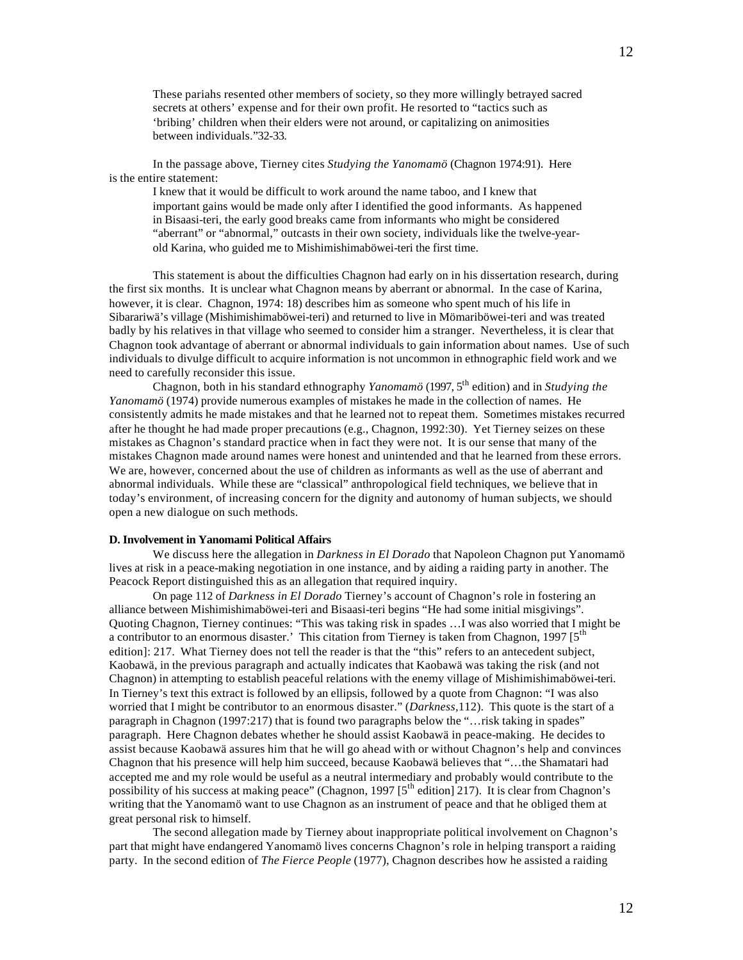These pariahs resented other members of society, so they more willingly betrayed sacred secrets at others' expense and for their own profit. He resorted to "tactics such as 'bribing' children when their elders were not around, or capitalizing on animosities between individuals."32-33.

In the passage above, Tierney cites *Studying the Yanomamö* (Chagnon 1974:91). Here is the entire statement:

I knew that it would be difficult to work around the name taboo, and I knew that important gains would be made only after I identified the good informants. As happened in Bisaasi-teri, the early good breaks came from informants who might be considered "aberrant" or "abnormal," outcasts in their own society, individuals like the twelve-yearold Karina, who guided me to Mishimishimaböwei-teri the first time.

This statement is about the difficulties Chagnon had early on in his dissertation research, during the first six months. It is unclear what Chagnon means by aberrant or abnormal. In the case of Karina, however, it is clear. Chagnon, 1974: 18) describes him as someone who spent much of his life in Sibarariwä's village (Mishimishimaböwei-teri) and returned to live in Mömariböwei-teri and was treated badly by his relatives in that village who seemed to consider him a stranger. Nevertheless, it is clear that Chagnon took advantage of aberrant or abnormal individuals to gain information about names. Use of such individuals to divulge difficult to acquire information is not uncommon in ethnographic field work and we need to carefully reconsider this issue.

Chagnon, both in his standard ethnography *Yanomamö* (1997, 5th edition) and in *Studying the Yanomamö* (1974) provide numerous examples of mistakes he made in the collection of names. He consistently admits he made mistakes and that he learned not to repeat them. Sometimes mistakes recurred after he thought he had made proper precautions (e.g., Chagnon, 1992:30). Yet Tierney seizes on these mistakes as Chagnon's standard practice when in fact they were not. It is our sense that many of the mistakes Chagnon made around names were honest and unintended and that he learned from these errors. We are, however, concerned about the use of children as informants as well as the use of aberrant and abnormal individuals. While these are "classical" anthropological field techniques, we believe that in today's environment, of increasing concern for the dignity and autonomy of human subjects, we should open a new dialogue on such methods.

# **D. Involvement in Yanomami Political Affairs**

We discuss here the allegation in *Darkness in El Dorado* that Napoleon Chagnon put Yanomamö lives at risk in a peace-making negotiation in one instance, and by aiding a raiding party in another. The Peacock Report distinguished this as an allegation that required inquiry.

On page 112 of *Darkness in El Dorado* Tierney's account of Chagnon's role in fostering an alliance between Mishimishimaböwei-teri and Bisaasi-teri begins "He had some initial misgivings". Quoting Chagnon, Tierney continues: "This was taking risk in spades …I was also worried that I might be a contributor to an enormous disaster.' This citation from Tierney is taken from Chagnon, 1997 [5<sup>th</sup>] edition]: 217. What Tierney does not tell the reader is that the "this" refers to an antecedent subject, Kaobawä, in the previous paragraph and actually indicates that Kaobawä was taking the risk (and not Chagnon) in attempting to establish peaceful relations with the enemy village of Mishimishimaböwei-teri. In Tierney's text this extract is followed by an ellipsis, followed by a quote from Chagnon: "I was also worried that I might be contributor to an enormous disaster." (*Darkness,*112). This quote is the start of a paragraph in Chagnon (1997:217) that is found two paragraphs below the "…risk taking in spades" paragraph. Here Chagnon debates whether he should assist Kaobawä in peace-making. He decides to assist because Kaobawä assures him that he will go ahead with or without Chagnon's help and convinces Chagnon that his presence will help him succeed, because Kaobawä believes that "…the Shamatari had accepted me and my role would be useful as a neutral intermediary and probably would contribute to the possibility of his success at making peace" (Chagnon, 1997  $5<sup>th</sup>$  edition] 217). It is clear from Chagnon's writing that the Yanomamö want to use Chagnon as an instrument of peace and that he obliged them at great personal risk to himself.

The second allegation made by Tierney about inappropriate political involvement on Chagnon's part that might have endangered Yanomamö lives concerns Chagnon's role in helping transport a raiding party. In the second edition of *The Fierce People* (1977), Chagnon describes how he assisted a raiding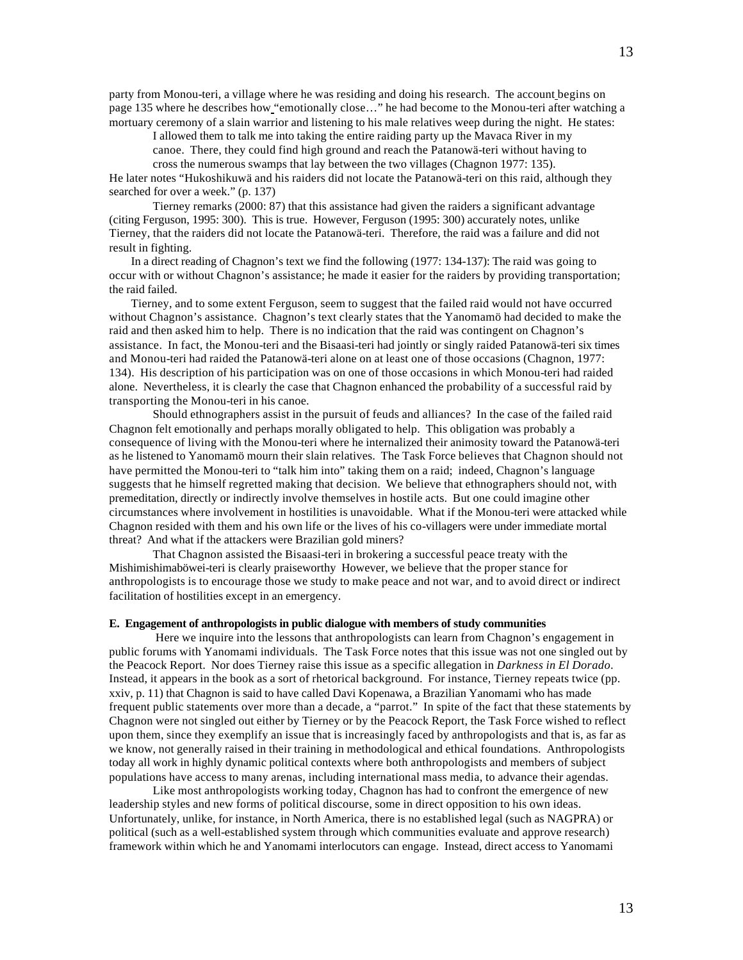party from Monou-teri, a village where he was residing and doing his research. The account begins on page 135 where he describes how "emotionally close…" he had become to the Monou-teri after watching a mortuary ceremony of a slain warrior and listening to his male relatives weep during the night. He states:

I allowed them to talk me into taking the entire raiding party up the Mavaca River in my

canoe. There, they could find high ground and reach the Patanowä-teri without having to cross the numerous swamps that lay between the two villages (Chagnon 1977: 135).

He later notes "Hukoshikuwä and his raiders did not locate the Patanowä-teri on this raid, although they searched for over a week." (p. 137)

Tierney remarks (2000: 87) that this assistance had given the raiders a significant advantage (citing Ferguson, 1995: 300). This is true. However, Ferguson (1995: 300) accurately notes, unlike Tierney, that the raiders did not locate the Patanowä-teri. Therefore, the raid was a failure and did not result in fighting.

In a direct reading of Chagnon's text we find the following (1977: 134-137): The raid was going to occur with or without Chagnon's assistance; he made it easier for the raiders by providing transportation; the raid failed.

Tierney, and to some extent Ferguson, seem to suggest that the failed raid would not have occurred without Chagnon's assistance. Chagnon's text clearly states that the Yanomamö had decided to make the raid and then asked him to help. There is no indication that the raid was contingent on Chagnon's assistance. In fact, the Monou-teri and the Bisaasi-teri had jointly or singly raided Patanowä-teri six times and Monou-teri had raided the Patanowä-teri alone on at least one of those occasions (Chagnon, 1977: 134). His description of his participation was on one of those occasions in which Monou-teri had raided alone. Nevertheless, it is clearly the case that Chagnon enhanced the probability of a successful raid by transporting the Monou-teri in his canoe.

Should ethnographers assist in the pursuit of feuds and alliances? In the case of the failed raid Chagnon felt emotionally and perhaps morally obligated to help. This obligation was probably a consequence of living with the Monou-teri where he internalized their animosity toward the Patanowä-teri as he listened to Yanomamö mourn their slain relatives. The Task Force believes that Chagnon should not have permitted the Monou-teri to "talk him into" taking them on a raid; indeed, Chagnon's language suggests that he himself regretted making that decision. We believe that ethnographers should not, with premeditation, directly or indirectly involve themselves in hostile acts. But one could imagine other circumstances where involvement in hostilities is unavoidable. What if the Monou-teri were attacked while Chagnon resided with them and his own life or the lives of his co-villagers were under immediate mortal threat? And what if the attackers were Brazilian gold miners?

That Chagnon assisted the Bisaasi-teri in brokering a successful peace treaty with the Mishimishimaböwei-teri is clearly praiseworthy However, we believe that the proper stance for anthropologists is to encourage those we study to make peace and not war, and to avoid direct or indirect facilitation of hostilities except in an emergency.

### **E. Engagement of anthropologists in public dialogue with members of study communities**

 Here we inquire into the lessons that anthropologists can learn from Chagnon's engagement in public forums with Yanomami individuals. The Task Force notes that this issue was not one singled out by the Peacock Report. Nor does Tierney raise this issue as a specific allegation in *Darkness in El Dorado*. Instead, it appears in the book as a sort of rhetorical background. For instance, Tierney repeats twice (pp. xxiv, p. 11) that Chagnon is said to have called Davi Kopenawa, a Brazilian Yanomami who has made frequent public statements over more than a decade, a "parrot." In spite of the fact that these statements by Chagnon were not singled out either by Tierney or by the Peacock Report, the Task Force wished to reflect upon them, since they exemplify an issue that is increasingly faced by anthropologists and that is, as far as we know, not generally raised in their training in methodological and ethical foundations. Anthropologists today all work in highly dynamic political contexts where both anthropologists and members of subject populations have access to many arenas, including international mass media, to advance their agendas.

Like most anthropologists working today, Chagnon has had to confront the emergence of new leadership styles and new forms of political discourse, some in direct opposition to his own ideas. Unfortunately, unlike, for instance, in North America, there is no established legal (such as NAGPRA) or political (such as a well-established system through which communities evaluate and approve research) framework within which he and Yanomami interlocutors can engage. Instead, direct access to Yanomami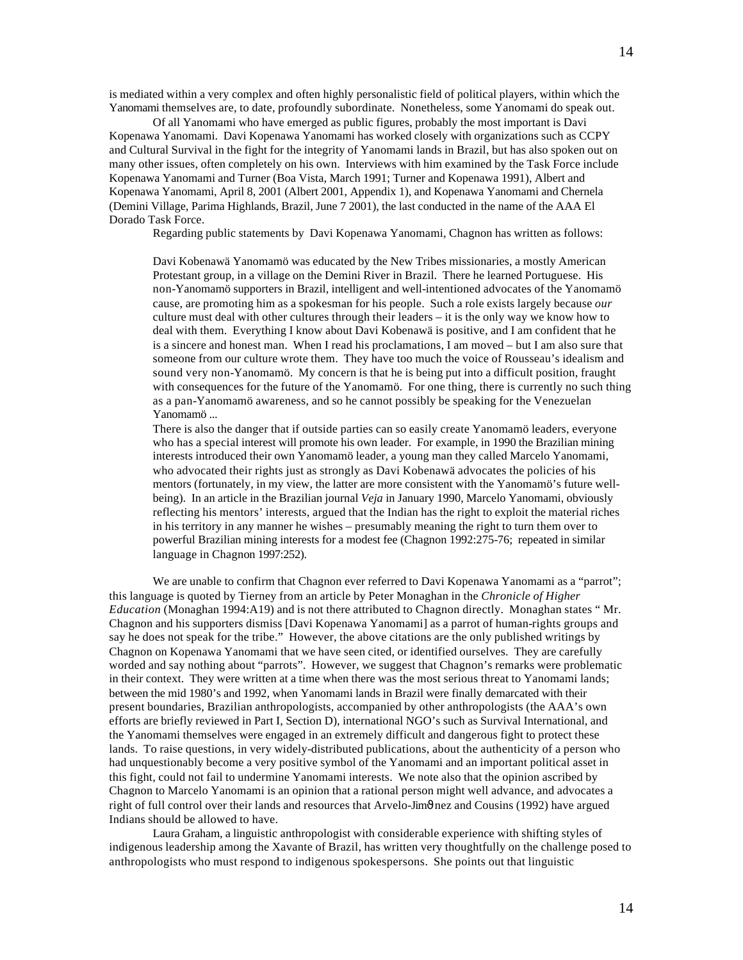is mediated within a very complex and often highly personalistic field of political players, within which the Yanomami themselves are, to date, profoundly subordinate. Nonetheless, some Yanomami do speak out.

Of all Yanomami who have emerged as public figures, probably the most important is Davi Kopenawa Yanomami. Davi Kopenawa Yanomami has worked closely with organizations such as CCPY and Cultural Survival in the fight for the integrity of Yanomami lands in Brazil, but has also spoken out on many other issues, often completely on his own. Interviews with him examined by the Task Force include Kopenawa Yanomami and Turner (Boa Vista, March 1991; Turner and Kopenawa 1991), Albert and Kopenawa Yanomami, April 8, 2001 (Albert 2001, Appendix 1), and Kopenawa Yanomami and Chernela (Demini Village, Parima Highlands, Brazil, June 7 2001), the last conducted in the name of the AAA El Dorado Task Force.

Regarding public statements by Davi Kopenawa Yanomami, Chagnon has written as follows:

Davi Kobenawä Yanomamö was educated by the New Tribes missionaries, a mostly American Protestant group, in a village on the Demini River in Brazil. There he learned Portuguese. His non-Yanomamö supporters in Brazil, intelligent and well-intentioned advocates of the Yanomamö cause, are promoting him as a spokesman for his people. Such a role exists largely because *our* culture must deal with other cultures through their leaders – it is the only way we know how to deal with them. Everything I know about Davi Kobenawä is positive, and I am confident that he is a sincere and honest man. When I read his proclamations, I am moved – but I am also sure that someone from our culture wrote them. They have too much the voice of Rousseau's idealism and sound very non-Yanomamö. My concern is that he is being put into a difficult position, fraught with consequences for the future of the Yanomamö. For one thing, there is currently no such thing as a pan-Yanomamö awareness, and so he cannot possibly be speaking for the Venezuelan Yanomamö ...

There is also the danger that if outside parties can so easily create Yanomamö leaders, everyone who has a special interest will promote his own leader. For example, in 1990 the Brazilian mining interests introduced their own Yanomamö leader, a young man they called Marcelo Yanomami, who advocated their rights just as strongly as Davi Kobenawä advocates the policies of his mentors (fortunately, in my view, the latter are more consistent with the Yanomamö's future wellbeing). In an article in the Brazilian journal *Veja* in January 1990, Marcelo Yanomami, obviously reflecting his mentors' interests, argued that the Indian has the right to exploit the material riches in his territory in any manner he wishes – presumably meaning the right to turn them over to powerful Brazilian mining interests for a modest fee (Chagnon 1992:275-76; repeated in similar language in Chagnon 1997:252).

We are unable to confirm that Chagnon ever referred to Davi Kopenawa Yanomami as a "parrot"; this language is quoted by Tierney from an article by Peter Monaghan in the *Chronicle of Higher Education* (Monaghan 1994:A19) and is not there attributed to Chagnon directly. Monaghan states " Mr. Chagnon and his supporters dismiss [Davi Kopenawa Yanomami] as a parrot of human-rights groups and say he does not speak for the tribe." However, the above citations are the only published writings by Chagnon on Kopenawa Yanomami that we have seen cited, or identified ourselves. They are carefully worded and say nothing about "parrots". However, we suggest that Chagnon's remarks were problematic in their context. They were written at a time when there was the most serious threat to Yanomami lands; between the mid 1980's and 1992, when Yanomami lands in Brazil were finally demarcated with their present boundaries, Brazilian anthropologists, accompanied by other anthropologists (the AAA's own efforts are briefly reviewed in Part I, Section D), international NGO's such as Survival International, and the Yanomami themselves were engaged in an extremely difficult and dangerous fight to protect these lands. To raise questions, in very widely-distributed publications, about the authenticity of a person who had unquestionably become a very positive symbol of the Yanomami and an important political asset in this fight, could not fail to undermine Yanomami interests. We note also that the opinion ascribed by Chagnon to Marcelo Yanomami is an opinion that a rational person might well advance, and advocates a right of full control over their lands and resources that Arvelo-Jim $\vartheta$ nez and Cousins (1992) have argued Indians should be allowed to have.

Laura Graham, a linguistic anthropologist with considerable experience with shifting styles of indigenous leadership among the Xavante of Brazil, has written very thoughtfully on the challenge posed to anthropologists who must respond to indigenous spokespersons. She points out that linguistic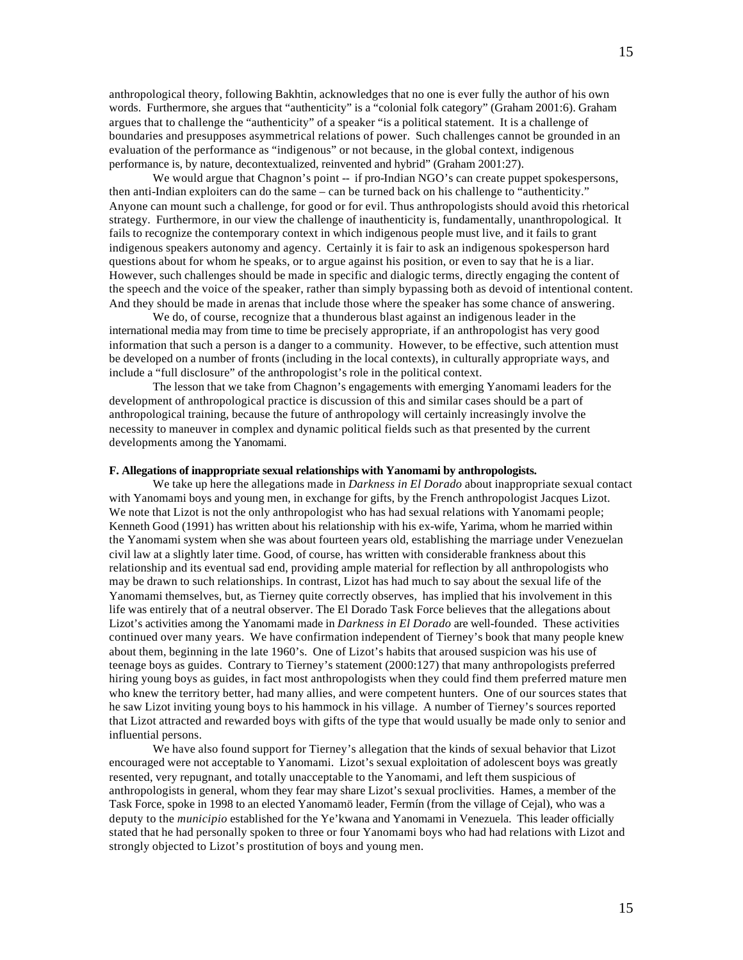anthropological theory, following Bakhtin, acknowledges that no one is ever fully the author of his own words. Furthermore, she argues that "authenticity" is a "colonial folk category" (Graham 2001:6). Graham argues that to challenge the "authenticity" of a speaker "is a political statement. It is a challenge of boundaries and presupposes asymmetrical relations of power. Such challenges cannot be grounded in an evaluation of the performance as "indigenous" or not because, in the global context, indigenous performance is, by nature, decontextualized, reinvented and hybrid" (Graham 2001:27).

We would argue that Chagnon's point -- if pro-Indian NGO's can create puppet spokespersons, then anti-Indian exploiters can do the same – can be turned back on his challenge to "authenticity." Anyone can mount such a challenge, for good or for evil. Thus anthropologists should avoid this rhetorical strategy. Furthermore, in our view the challenge of inauthenticity is, fundamentally, unanthropological. It fails to recognize the contemporary context in which indigenous people must live, and it fails to grant indigenous speakers autonomy and agency. Certainly it is fair to ask an indigenous spokesperson hard questions about for whom he speaks, or to argue against his position, or even to say that he is a liar. However, such challenges should be made in specific and dialogic terms, directly engaging the content of the speech and the voice of the speaker, rather than simply bypassing both as devoid of intentional content. And they should be made in arenas that include those where the speaker has some chance of answering.

We do, of course, recognize that a thunderous blast against an indigenous leader in the international media may from time to time be precisely appropriate, if an anthropologist has very good information that such a person is a danger to a community. However, to be effective, such attention must be developed on a number of fronts (including in the local contexts), in culturally appropriate ways, and include a "full disclosure" of the anthropologist's role in the political context.

The lesson that we take from Chagnon's engagements with emerging Yanomami leaders for the development of anthropological practice is discussion of this and similar cases should be a part of anthropological training, because the future of anthropology will certainly increasingly involve the necessity to maneuver in complex and dynamic political fields such as that presented by the current developments among the Yanomami.

### **F. Allegations of inappropriate sexual relationships with Yanomami by anthropologists.**

We take up here the allegations made in *Darkness in El Dorado* about inappropriate sexual contact with Yanomami boys and young men, in exchange for gifts, by the French anthropologist Jacques Lizot. We note that Lizot is not the only anthropologist who has had sexual relations with Yanomami people; Kenneth Good (1991) has written about his relationship with his ex-wife, Yarima, whom he married within the Yanomami system when she was about fourteen years old, establishing the marriage under Venezuelan civil law at a slightly later time. Good, of course, has written with considerable frankness about this relationship and its eventual sad end, providing ample material for reflection by all anthropologists who may be drawn to such relationships. In contrast, Lizot has had much to say about the sexual life of the Yanomami themselves, but, as Tierney quite correctly observes, has implied that his involvement in this life was entirely that of a neutral observer. The El Dorado Task Force believes that the allegations about Lizot's activities among the Yanomami made in *Darkness in El Dorado* are well-founded. These activities continued over many years. We have confirmation independent of Tierney's book that many people knew about them, beginning in the late 1960's. One of Lizot's habits that aroused suspicion was his use of teenage boys as guides. Contrary to Tierney's statement (2000:127) that many anthropologists preferred hiring young boys as guides, in fact most anthropologists when they could find them preferred mature men who knew the territory better, had many allies, and were competent hunters. One of our sources states that he saw Lizot inviting young boys to his hammock in his village. A number of Tierney's sources reported that Lizot attracted and rewarded boys with gifts of the type that would usually be made only to senior and influential persons.

We have also found support for Tierney's allegation that the kinds of sexual behavior that Lizot encouraged were not acceptable to Yanomami. Lizot's sexual exploitation of adolescent boys was greatly resented, very repugnant, and totally unacceptable to the Yanomami, and left them suspicious of anthropologists in general, whom they fear may share Lizot's sexual proclivities. Hames, a member of the Task Force, spoke in 1998 to an elected Yanomamö leader, Fermín (from the village of Cejal), who was a deputy to the *municipio* established for the Ye'kwana and Yanomami in Venezuela. This leader officially stated that he had personally spoken to three or four Yanomami boys who had had relations with Lizot and strongly objected to Lizot's prostitution of boys and young men.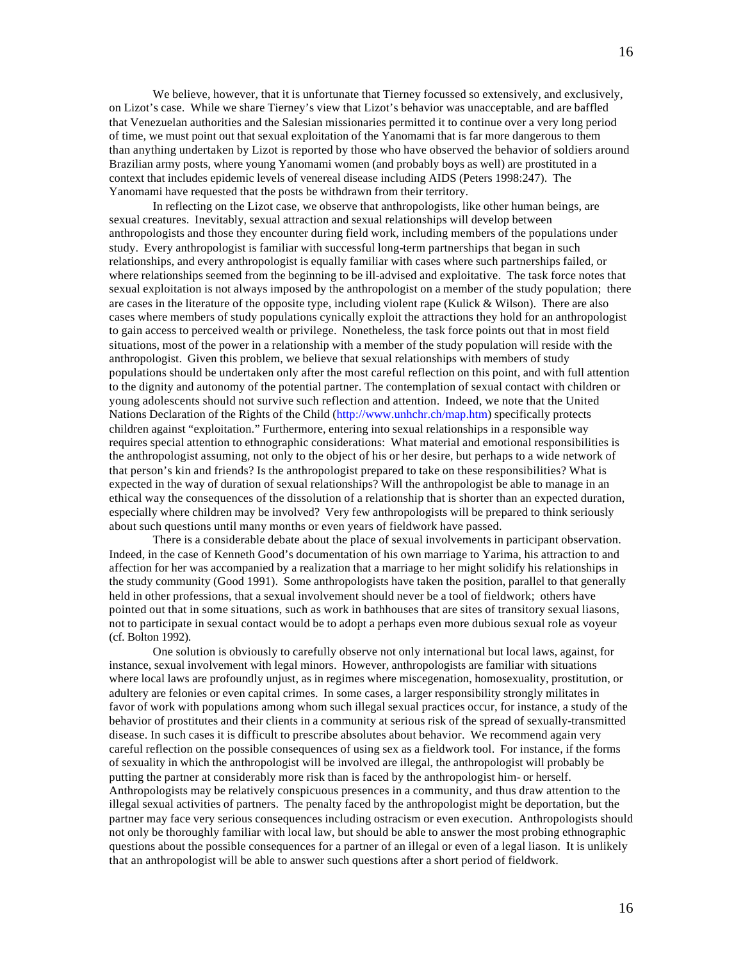We believe, however, that it is unfortunate that Tierney focussed so extensively, and exclusively, on Lizot's case. While we share Tierney's view that Lizot's behavior was unacceptable, and are baffled that Venezuelan authorities and the Salesian missionaries permitted it to continue over a very long period of time, we must point out that sexual exploitation of the Yanomami that is far more dangerous to them than anything undertaken by Lizot is reported by those who have observed the behavior of soldiers around Brazilian army posts, where young Yanomami women (and probably boys as well) are prostituted in a context that includes epidemic levels of venereal disease including AIDS (Peters 1998:247). The Yanomami have requested that the posts be withdrawn from their territory.

In reflecting on the Lizot case, we observe that anthropologists, like other human beings, are sexual creatures. Inevitably, sexual attraction and sexual relationships will develop between anthropologists and those they encounter during field work, including members of the populations under study. Every anthropologist is familiar with successful long-term partnerships that began in such relationships, and every anthropologist is equally familiar with cases where such partnerships failed, or where relationships seemed from the beginning to be ill-advised and exploitative. The task force notes that sexual exploitation is not always imposed by the anthropologist on a member of the study population; there are cases in the literature of the opposite type, including violent rape (Kulick & Wilson). There are also cases where members of study populations cynically exploit the attractions they hold for an anthropologist to gain access to perceived wealth or privilege. Nonetheless, the task force points out that in most field situations, most of the power in a relationship with a member of the study population will reside with the anthropologist. Given this problem, we believe that sexual relationships with members of study populations should be undertaken only after the most careful reflection on this point, and with full attention to the dignity and autonomy of the potential partner. The contemplation of sexual contact with children or young adolescents should not survive such reflection and attention. Indeed, we note that the United Nations Declaration of the Rights of the Child (http://www.unhchr.ch/map.htm) specifically protects children against "exploitation." Furthermore, entering into sexual relationships in a responsible way requires special attention to ethnographic considerations: What material and emotional responsibilities is the anthropologist assuming, not only to the object of his or her desire, but perhaps to a wide network of that person's kin and friends? Is the anthropologist prepared to take on these responsibilities? What is expected in the way of duration of sexual relationships? Will the anthropologist be able to manage in an ethical way the consequences of the dissolution of a relationship that is shorter than an expected duration, especially where children may be involved? Very few anthropologists will be prepared to think seriously about such questions until many months or even years of fieldwork have passed.

There is a considerable debate about the place of sexual involvements in participant observation. Indeed, in the case of Kenneth Good's documentation of his own marriage to Yarima, his attraction to and affection for her was accompanied by a realization that a marriage to her might solidify his relationships in the study community (Good 1991). Some anthropologists have taken the position, parallel to that generally held in other professions, that a sexual involvement should never be a tool of fieldwork; others have pointed out that in some situations, such as work in bathhouses that are sites of transitory sexual liasons, not to participate in sexual contact would be to adopt a perhaps even more dubious sexual role as voyeur (cf. Bolton 1992).

One solution is obviously to carefully observe not only international but local laws, against, for instance, sexual involvement with legal minors. However, anthropologists are familiar with situations where local laws are profoundly unjust, as in regimes where miscegenation, homosexuality, prostitution, or adultery are felonies or even capital crimes. In some cases, a larger responsibility strongly militates in favor of work with populations among whom such illegal sexual practices occur, for instance, a study of the behavior of prostitutes and their clients in a community at serious risk of the spread of sexually-transmitted disease. In such cases it is difficult to prescribe absolutes about behavior. We recommend again very careful reflection on the possible consequences of using sex as a fieldwork tool. For instance, if the forms of sexuality in which the anthropologist will be involved are illegal, the anthropologist will probably be putting the partner at considerably more risk than is faced by the anthropologist him- or herself. Anthropologists may be relatively conspicuous presences in a community, and thus draw attention to the illegal sexual activities of partners. The penalty faced by the anthropologist might be deportation, but the partner may face very serious consequences including ostracism or even execution. Anthropologists should not only be thoroughly familiar with local law, but should be able to answer the most probing ethnographic questions about the possible consequences for a partner of an illegal or even of a legal liason. It is unlikely that an anthropologist will be able to answer such questions after a short period of fieldwork.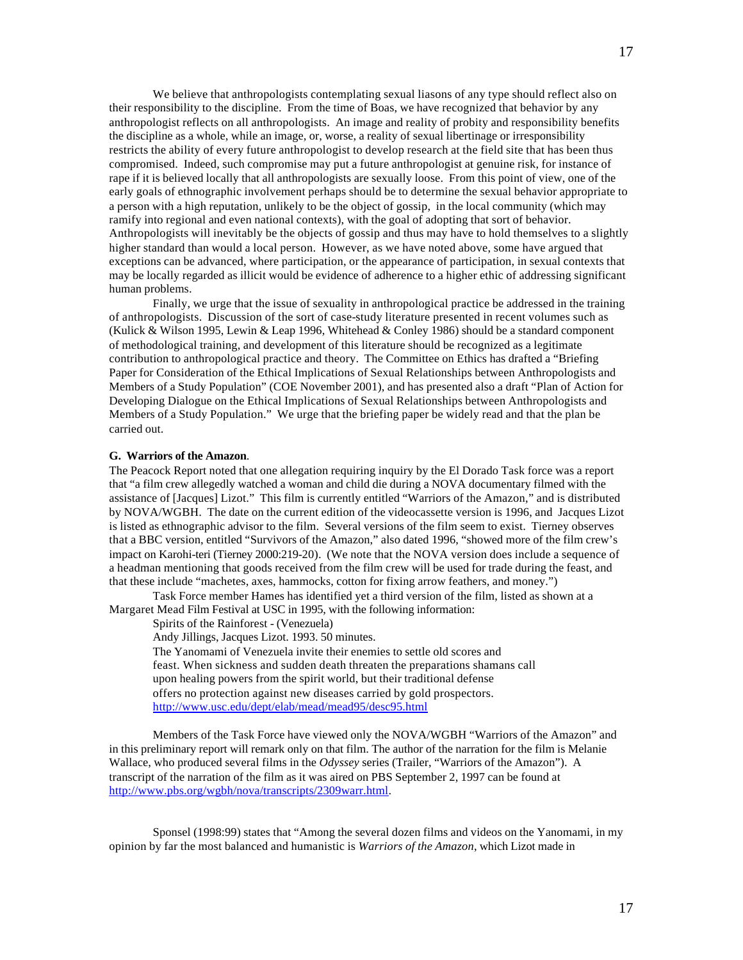We believe that anthropologists contemplating sexual liasons of any type should reflect also on their responsibility to the discipline. From the time of Boas, we have recognized that behavior by any anthropologist reflects on all anthropologists. An image and reality of probity and responsibility benefits the discipline as a whole, while an image, or, worse, a reality of sexual libertinage or irresponsibility restricts the ability of every future anthropologist to develop research at the field site that has been thus compromised. Indeed, such compromise may put a future anthropologist at genuine risk, for instance of rape if it is believed locally that all anthropologists are sexually loose. From this point of view, one of the early goals of ethnographic involvement perhaps should be to determine the sexual behavior appropriate to a person with a high reputation, unlikely to be the object of gossip, in the local community (which may ramify into regional and even national contexts), with the goal of adopting that sort of behavior. Anthropologists will inevitably be the objects of gossip and thus may have to hold themselves to a slightly higher standard than would a local person. However, as we have noted above, some have argued that exceptions can be advanced, where participation, or the appearance of participation, in sexual contexts that may be locally regarded as illicit would be evidence of adherence to a higher ethic of addressing significant human problems.

Finally, we urge that the issue of sexuality in anthropological practice be addressed in the training of anthropologists. Discussion of the sort of case-study literature presented in recent volumes such as (Kulick & Wilson 1995, Lewin & Leap 1996, Whitehead & Conley 1986) should be a standard component of methodological training, and development of this literature should be recognized as a legitimate contribution to anthropological practice and theory. The Committee on Ethics has drafted a "Briefing Paper for Consideration of the Ethical Implications of Sexual Relationships between Anthropologists and Members of a Study Population" (COE November 2001), and has presented also a draft "Plan of Action for Developing Dialogue on the Ethical Implications of Sexual Relationships between Anthropologists and Members of a Study Population." We urge that the briefing paper be widely read and that the plan be carried out.

### **G. Warriors of the Amazon**.

The Peacock Report noted that one allegation requiring inquiry by the El Dorado Task force was a report that "a film crew allegedly watched a woman and child die during a NOVA documentary filmed with the assistance of [Jacques] Lizot." This film is currently entitled "Warriors of the Amazon," and is distributed by NOVA/WGBH. The date on the current edition of the videocassette version is 1996, and Jacques Lizot is listed as ethnographic advisor to the film. Several versions of the film seem to exist. Tierney observes that a BBC version, entitled "Survivors of the Amazon," also dated 1996, "showed more of the film crew's impact on Karohi-teri (Tierney 2000:219-20). (We note that the NOVA version does include a sequence of a headman mentioning that goods received from the film crew will be used for trade during the feast, and that these include "machetes, axes, hammocks, cotton for fixing arrow feathers, and money.")

Task Force member Hames has identified yet a third version of the film, listed as shown at a Margaret Mead Film Festival at USC in 1995, with the following information:

Spirits of the Rainforest - (Venezuela)

Andy Jillings, Jacques Lizot. 1993. 50 minutes.

The Yanomami of Venezuela invite their enemies to settle old scores and feast. When sickness and sudden death threaten the preparations shamans call upon healing powers from the spirit world, but their traditional defense offers no protection against new diseases carried by gold prospectors. http://www.usc.edu/dept/elab/mead/mead95/desc95.html

Members of the Task Force have viewed only the NOVA/WGBH "Warriors of the Amazon" and in this preliminary report will remark only on that film. The author of the narration for the film is Melanie Wallace, who produced several films in the *Odyssey* series (Trailer, "Warriors of the Amazon"). A transcript of the narration of the film as it was aired on PBS September 2, 1997 can be found at http://www.pbs.org/wgbh/nova/transcripts/2309warr.html.

Sponsel (1998:99) states that "Among the several dozen films and videos on the Yanomami, in my opinion by far the most balanced and humanistic is *Warriors of the Amazon*, which Lizot made in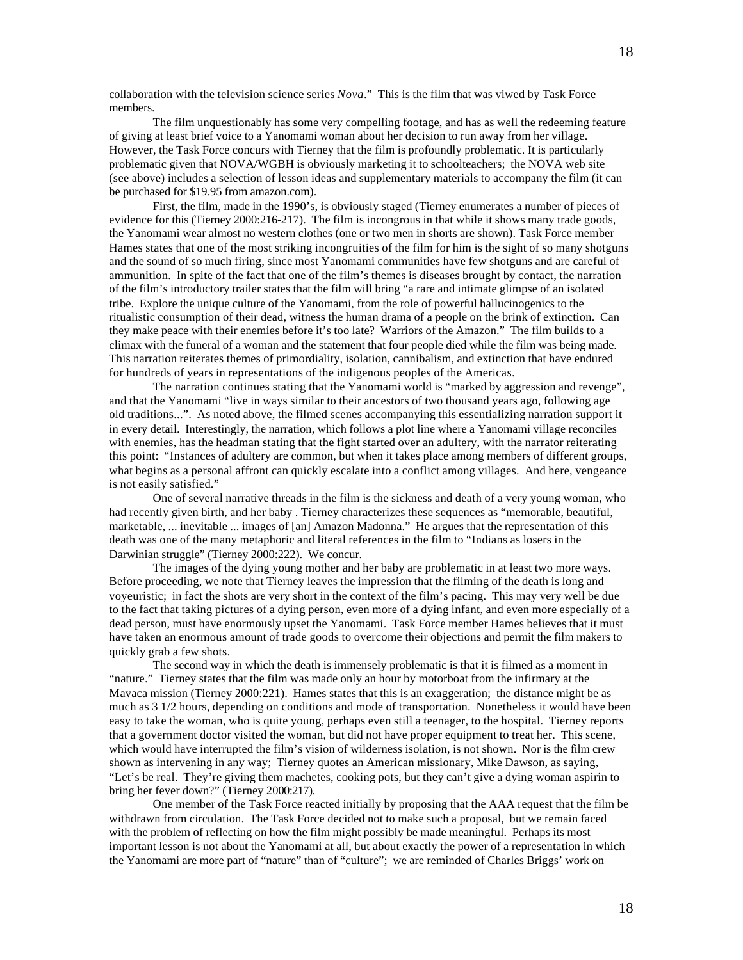collaboration with the television science series *Nova*." This is the film that was viwed by Task Force members.

The film unquestionably has some very compelling footage, and has as well the redeeming feature of giving at least brief voice to a Yanomami woman about her decision to run away from her village. However, the Task Force concurs with Tierney that the film is profoundly problematic. It is particularly problematic given that NOVA/WGBH is obviously marketing it to schoolteachers; the NOVA web site (see above) includes a selection of lesson ideas and supplementary materials to accompany the film (it can be purchased for \$19.95 from amazon.com).

First, the film, made in the 1990's, is obviously staged (Tierney enumerates a number of pieces of evidence for this (Tierney 2000:216-217). The film is incongrous in that while it shows many trade goods, the Yanomami wear almost no western clothes (one or two men in shorts are shown). Task Force member Hames states that one of the most striking incongruities of the film for him is the sight of so many shotguns and the sound of so much firing, since most Yanomami communities have few shotguns and are careful of ammunition. In spite of the fact that one of the film's themes is diseases brought by contact, the narration of the film's introductory trailer states that the film will bring "a rare and intimate glimpse of an isolated tribe. Explore the unique culture of the Yanomami, from the role of powerful hallucinogenics to the ritualistic consumption of their dead, witness the human drama of a people on the brink of extinction. Can they make peace with their enemies before it's too late? Warriors of the Amazon." The film builds to a climax with the funeral of a woman and the statement that four people died while the film was being made. This narration reiterates themes of primordiality, isolation, cannibalism, and extinction that have endured for hundreds of years in representations of the indigenous peoples of the Americas.

The narration continues stating that the Yanomami world is "marked by aggression and revenge", and that the Yanomami "live in ways similar to their ancestors of two thousand years ago, following age old traditions...". As noted above, the filmed scenes accompanying this essentializing narration support it in every detail. Interestingly, the narration, which follows a plot line where a Yanomami village reconciles with enemies, has the headman stating that the fight started over an adultery, with the narrator reiterating this point: "Instances of adultery are common, but when it takes place among members of different groups, what begins as a personal affront can quickly escalate into a conflict among villages. And here, vengeance is not easily satisfied."

One of several narrative threads in the film is the sickness and death of a very young woman, who had recently given birth, and her baby . Tierney characterizes these sequences as "memorable, beautiful, marketable, ... inevitable ... images of [an] Amazon Madonna." He argues that the representation of this death was one of the many metaphoric and literal references in the film to "Indians as losers in the Darwinian struggle" (Tierney 2000:222). We concur.

The images of the dying young mother and her baby are problematic in at least two more ways. Before proceeding, we note that Tierney leaves the impression that the filming of the death is long and voyeuristic; in fact the shots are very short in the context of the film's pacing. This may very well be due to the fact that taking pictures of a dying person, even more of a dying infant, and even more especially of a dead person, must have enormously upset the Yanomami. Task Force member Hames believes that it must have taken an enormous amount of trade goods to overcome their objections and permit the film makers to quickly grab a few shots.

The second way in which the death is immensely problematic is that it is filmed as a moment in "nature." Tierney states that the film was made only an hour by motorboat from the infirmary at the Mavaca mission (Tierney 2000:221). Hames states that this is an exaggeration; the distance might be as much as 3 1/2 hours, depending on conditions and mode of transportation. Nonetheless it would have been easy to take the woman, who is quite young, perhaps even still a teenager, to the hospital. Tierney reports that a government doctor visited the woman, but did not have proper equipment to treat her. This scene, which would have interrupted the film's vision of wilderness isolation, is not shown. Nor is the film crew shown as intervening in any way; Tierney quotes an American missionary, Mike Dawson, as saying, "Let's be real. They're giving them machetes, cooking pots, but they can't give a dying woman aspirin to bring her fever down?" (Tierney 2000:217).

One member of the Task Force reacted initially by proposing that the AAA request that the film be withdrawn from circulation. The Task Force decided not to make such a proposal, but we remain faced with the problem of reflecting on how the film might possibly be made meaningful. Perhaps its most important lesson is not about the Yanomami at all, but about exactly the power of a representation in which the Yanomami are more part of "nature" than of "culture"; we are reminded of Charles Briggs' work on